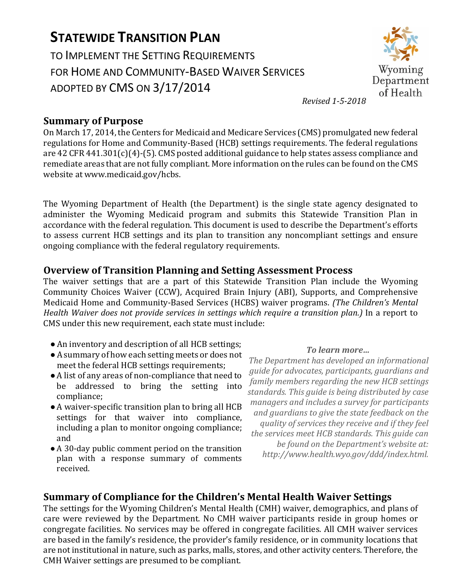# **STATEWIDE TRANSITION PLAN**

TO IMPLEMENT THE SETTING REQUIREMENTS FOR HOME AND COMMUNITY-BASED WAIVER SERVICES ADOPTED BY CMS ON 3/17/2014



*Revised 1-5-2018*

#### **Summary of Purpose**

On March 17, 2014, the Centers for Medicaid and Medicare Services (CMS) promulgated new federal regulations for Home and Community-Based (HCB) settings requirements. The federal regulations are 42 CFR 441.301(c)(4)-(5). CMS posted additional guidance to help states assess compliance and remediate areas that are not fully compliant. More information on the rules can be found on the CMS website at www.medicaid.gov/hcbs.

The Wyoming Department of Health (the Department) is the single state agency designated to administer the Wyoming Medicaid program and submits this Statewide Transition Plan in accordance with the federal regulation. This document is used to describe the Department's efforts to assess current HCB settings and its plan to transition any noncompliant settings and ensure ongoing compliance with the federal regulatory requirements.

#### **Overview of Transition Planning and Setting Assessment Process**

The waiver settings that are a part of this Statewide Transition Plan include the Wyoming Community Choices Waiver (CCW), Acquired Brain Injury (ABI), Supports, and Comprehensive Medicaid Home and Community-Based Services (HCBS) waiver programs. *(The Children's Mental Health Waiver does not provide services in settings which require a transition plan.)* In a report to CMS under this new requirement, each state must include:

- ●An inventory and description of all HCB settings;
- ●A summary of how each setting meets or does not meet the federal HCB settings requirements;
- ●A list of any areas of non-compliance that need to be addressed to bring the setting into compliance;
- ●A waiver-specific transition plan to bring all HCB settings for that waiver into compliance, including a plan to monitor ongoing compliance; and
- A 30-day public comment period on the transition plan with a response summary of comments received.

#### *To learn more…*

*The Department has developed an informational guide for advocates, participants, guardians and family members regarding the new HCB settings standards. This guide is being distributed by case managers and includes a survey for participants and guardians to give the state feedback on the quality of services they receive and if they feel the services meet HCB standards. This guide can be found on the Department's website at: http://www.health.wyo.gov/ddd/index.html.*

## **Summary of Compliance for the Children's Mental Health Waiver Settings**

The settings for the Wyoming Children's Mental Health (CMH) waiver, demographics, and plans of care were reviewed by the Department. No CMH waiver participants reside in group homes or congregate facilities. No services may be offered in congregate facilities. All CMH waiver services are based in the family's residence, the provider's family residence, or in community locations that are not institutional in nature, such as parks, malls, stores, and other activity centers. Therefore, the CMH Waiver settings are presumed to be compliant.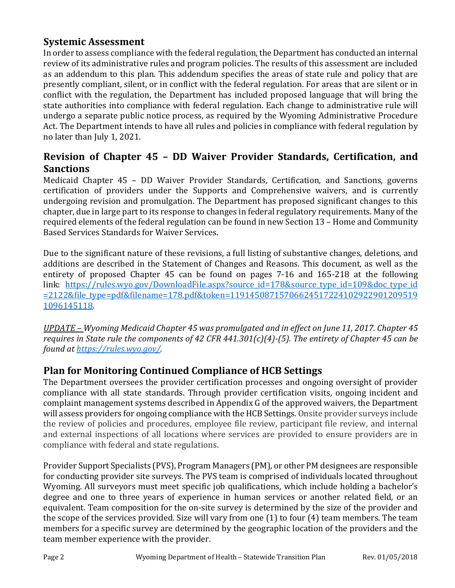### **Systemic Assessment**

In order to assess compliance with the federal regulation, the Department has conducted an internal review of its administrative rules and program policies. The results of this assessment are included as an addendum to this plan. This addendum specifies the areas of state rule and policy that are presently compliant, silent, or in conflict with the federal regulation. For areas that are silent or in conflict with the regulation, the Department has included proposed language that will bring the state authorities into compliance with federal regulation. Each change to administrative rule will undergo a separate public notice process, as required by the Wyoming Administrative Procedure Act. The Department intends to have all rules and policies in compliance with federal regulation by no later than July 1, 2021.

## **Revision of Chapter 45 – DD Waiver Provider Standards, Certification, and Sanctions**

Medicaid Chapter 45 – DD Waiver Provider Standards, Certification, and Sanctions, governs certification of providers under the Supports and Comprehensive waivers, and is currently undergoing revision and promulgation. The Department has proposed significant changes to this chapter, due in large part to its response to changes in federal regulatory requirements. Many of the required elements of the federal regulation can be found in new Section 13 – Home and Community Based Services Standards for Waiver Services.

Due to the significant nature of these revisions, a full listing of substantive changes, deletions, and additions are described in the Statement of Changes and Reasons. This document, as well as the entirety of proposed Chapter 45 can be found on pages 7-16 and 165-218 at the following link: [https://rules.wyo.gov/DownloadFile.aspx?source\\_id=178&source\\_type\\_id=109&doc\\_type\\_id](https://rules.wyo.gov/DownloadFile.aspx?source_id=178&source_type_id=109&doc_type_id=2122&file_type=pdf&filename=178.pdf&token=119145087157066245172241029229012095191096145118) [=2122&file\\_type=pdf&filename=178.pdf&token=11914508715706624517224102922901209519](https://rules.wyo.gov/DownloadFile.aspx?source_id=178&source_type_id=109&doc_type_id=2122&file_type=pdf&filename=178.pdf&token=119145087157066245172241029229012095191096145118) [1096145118.](https://rules.wyo.gov/DownloadFile.aspx?source_id=178&source_type_id=109&doc_type_id=2122&file_type=pdf&filename=178.pdf&token=119145087157066245172241029229012095191096145118)

*UPDATE – Wyoming Medicaid Chapter 45 was promulgated and in effect on June 11, 2017. Chapter 45 requires in State rule the components of 42 CFR 441.301(c)(4)-(5). The entirety of Chapter 45 can be found at [https://rules.wyo.gov/.](https://rules.wyo.gov/DownloadFile.aspx?source_id=11108&source_type_id=81&doc_type_id=110&include_meta_data=Y&file_type=pdf&filename=11108.pdf&token=163093002253149203010226156246187219144121056001)*

## **Plan for Monitoring Continued Compliance of HCB Settings**

The Department oversees the provider certification processes and ongoing oversight of provider compliance with all state standards. Through provider certification visits, ongoing incident and complaint management systems described in Appendix G of the approved waivers, the Department will assess providers for ongoing compliance with the HCB Settings. Onsite provider surveys include the review of policies and procedures, employee file review, participant file review, and internal and external inspections of all locations where services are provided to ensure providers are in compliance with federal and state regulations.

Provider Support Specialists (PVS), Program Managers (PM), or other PM designees are responsible for conducting provider site surveys. The PVS team is comprised of individuals located throughout Wyoming. All surveyors must meet specific job qualifications, which include holding a bachelor's degree and one to three years of experience in human services or another related field, or an equivalent. Team composition for the on-site survey is determined by the size of the provider and the scope of the services provided. Size will vary from one (1) to four (4) team members. The team members for a specific survey are determined by the geographic location of the providers and the team member experience with the provider.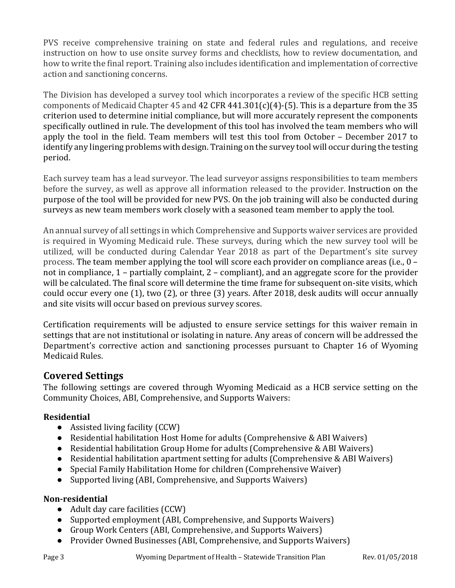PVS receive comprehensive training on state and federal rules and regulations, and receive instruction on how to use onsite survey forms and checklists, how to review documentation, and how to write the final report. Training also includes identification and implementation of corrective action and sanctioning concerns.

The Division has developed a survey tool which incorporates a review of the specific HCB setting components of Medicaid Chapter 45 and 42 CFR 441.301(c)(4)-(5). This is a departure from the 35 criterion used to determine initial compliance, but will more accurately represent the components specifically outlined in rule. The development of this tool has involved the team members who will apply the tool in the field. Team members will test this tool from October – December 2017 to identify any lingering problems with design. Training on the survey tool will occur during the testing period.

Each survey team has a lead surveyor. The lead surveyor assigns responsibilities to team members before the survey, as well as approve all information released to the provider. Instruction on the purpose of the tool will be provided for new PVS. On the job training will also be conducted during surveys as new team members work closely with a seasoned team member to apply the tool.

An annual survey of all settings in which Comprehensive and Supports waiver services are provided is required in Wyoming Medicaid rule. These surveys, during which the new survey tool will be utilized, will be conducted during Calendar Year 2018 as part of the Department's site survey process. The team member applying the tool will score each provider on compliance areas (i.e.,  $0$ not in compliance, 1 – partially complaint, 2 – compliant), and an aggregate score for the provider will be calculated. The final score will determine the time frame for subsequent on-site visits, which could occur every one (1), two (2), or three (3) years. After 2018, desk audits will occur annually and site visits will occur based on previous survey scores.

Certification requirements will be adjusted to ensure service settings for this waiver remain in settings that are not institutional or isolating in nature. Any areas of concern will be addressed the Department's corrective action and sanctioning processes pursuant to Chapter 16 of Wyoming Medicaid Rules.

## **Covered Settings**

The following settings are covered through Wyoming Medicaid as a HCB service setting on the Community Choices, ABI, Comprehensive, and Supports Waivers:

#### **Residential**

- Assisted living facility (CCW)
- Residential habilitation Host Home for adults (Comprehensive & ABI Waivers)
- Residential habilitation Group Home for adults (Comprehensive & ABI Waivers)
- Residential habilitation apartment setting for adults (Comprehensive & ABI Waivers)
- Special Family Habilitation Home for children (Comprehensive Waiver)
- Supported living (ABI, Comprehensive, and Supports Waivers)

#### **Non-residential**

- Adult day care facilities (CCW)
- Supported employment (ABI, Comprehensive, and Supports Waivers)
- Group Work Centers (ABI, Comprehensive, and Supports Waivers)
- Provider Owned Businesses (ABI, Comprehensive, and Supports Waivers)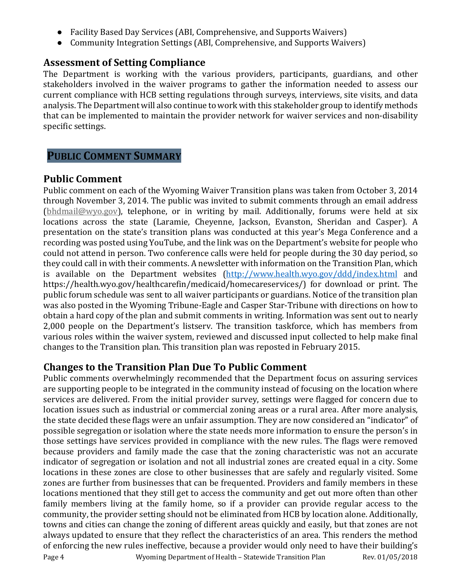- Facility Based Day Services (ABI, Comprehensive, and Supports Waivers)
- Community Integration Settings (ABI, Comprehensive, and Supports Waivers)

### **Assessment of Setting Compliance**

The Department is working with the various providers, participants, guardians, and other stakeholders involved in the waiver programs to gather the information needed to assess our current compliance with HCB setting regulations through surveys, interviews, site visits, and data analysis. The Department will also continue to work with this stakeholder group to identify methods that can be implemented to maintain the provider network for waiver services and non-disability specific settings.

## **PUBLIC COMMENT SUMMARY**

### **Public Comment**

Public comment on each of the Wyoming Waiver Transition plans was taken from October 3, 2014 through November 3, 2014. The public was invited to submit comments through an email address [\(bhdmail@wyo.gov\)](mailto:bhdmail@wyo.gov), telephone, or in writing by mail. Additionally, forums were held at six locations across the state (Laramie, Cheyenne, Jackson, Evanston, Sheridan and Casper). A presentation on the state's transition plans was conducted at this year's Mega Conference and a recording was posted using YouTube, and the link was on the Department's website for people who could not attend in person. Two conference calls were held for people during the 30 day period, so they could call in with their comments. A newsletter with information on the Transition Plan, which is available on the Department websites [\(http://www.health.wyo.gov/ddd/index.html](http://www.health.wyo.gov/ddd/index.html) and https://health.wyo.gov/healthcarefin/medicaid/homecareservices/) for download or print. The public forum schedule was sent to all waiver participants or guardians. Notice of the transition plan was also posted in the Wyoming Tribune-Eagle and Casper Star-Tribune with directions on how to obtain a hard copy of the plan and submit comments in writing. Information was sent out to nearly 2,000 people on the Department's listserv. The transition taskforce, which has members from various roles within the waiver system, reviewed and discussed input collected to help make final changes to the Transition plan. This transition plan was reposted in February 2015.

## **Changes to the Transition Plan Due To Public Comment**

Public comments overwhelmingly recommended that the Department focus on assuring services are supporting people to be integrated in the community instead of focusing on the location where services are delivered. From the initial provider survey, settings were flagged for concern due to location issues such as industrial or commercial zoning areas or a rural area. After more analysis, the state decided these flags were an unfair assumption. They are now considered an "indicator" of possible segregation or isolation where the state needs more information to ensure the person's in those settings have services provided in compliance with the new rules. The flags were removed because providers and family made the case that the zoning characteristic was not an accurate indicator of segregation or isolation and not all industrial zones are created equal in a city. Some locations in these zones are close to other businesses that are safely and regularly visited. Some zones are further from businesses that can be frequented. Providers and family members in these locations mentioned that they still get to access the community and get out more often than other family members living at the family home, so if a provider can provide regular access to the community, the provider setting should not be eliminated from HCB by location alone. Additionally, towns and cities can change the zoning of different areas quickly and easily, but that zones are not always updated to ensure that they reflect the characteristics of an area. This renders the method of enforcing the new rules ineffective, because a provider would only need to have their building's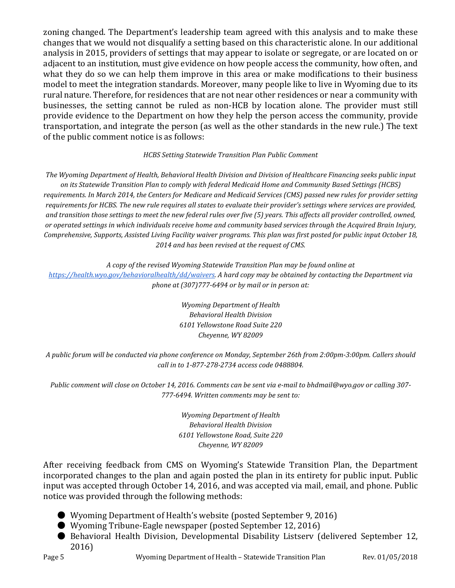zoning changed. The Department's leadership team agreed with this analysis and to make these changes that we would not disqualify a setting based on this characteristic alone. In our additional analysis in 2015, providers of settings that may appear to isolate or segregate, or are located on or adjacent to an institution, must give evidence on how people access the community, how often, and what they do so we can help them improve in this area or make modifications to their business model to meet the integration standards. Moreover, many people like to live in Wyoming due to its rural nature. Therefore, for residences that are not near other residences or near a community with businesses, the setting cannot be ruled as non-HCB by location alone. The provider must still provide evidence to the Department on how they help the person access the community, provide transportation, and integrate the person (as well as the other standards in the new rule.) The text of the public comment notice is as follows:

#### *HCBS Setting Statewide Transition Plan Public Comment*

*The Wyoming Department of Health, Behavioral Health Division and Division of Healthcare Financing seeks public input on its Statewide Transition Plan to comply with federal Medicaid Home and Community Based Settings (HCBS) requirements. In March 2014, the Centers for Medicare and Medicaid Services (CMS) passed new rules for provider setting requirements for HCBS. The new rule requires all states to evaluate their provider's settings where services are provided, and transition those settings to meet the new federal rules over five (5) years. This affects all provider controlled, owned, or operated settings in which individuals receive home and community based services through the Acquired Brain Injury, Comprehensive, Supports, Assisted Living Facility waiver programs. This plan was first posted for public input October 18, 2014 and has been revised at the request of CMS.*

*A copy of the revised Wyoming Statewide Transition Plan may be found online at [https://health.wyo.gov/behavioralhealth/dd/waivers.](https://health.wyo.gov/behavioralhealth/dd/waivers) A hard copy may be obtained by contacting the Department via phone at (307)777-6494 or by mail or in person at:*

> *Wyoming Department of Health Behavioral Health Division 6101 Yellowstone Road Suite 220 Cheyenne, WY 82009*

*A public forum will be conducted via phone conference on Monday, September 26th from 2:00pm-3:00pm. Callers should call in to 1-877-278-2734 access code 0488804.* 

*Public comment will close on October 14, 2016. Comments can be sent via e-mail to bhdmail@wyo.gov or calling 307- 777-6494. Written comments may be sent to:*

> *Wyoming Department of Health Behavioral Health Division 6101 Yellowstone Road, Suite 220 Cheyenne, WY 82009*

After receiving feedback from CMS on Wyoming's Statewide Transition Plan, the Department incorporated changes to the plan and again posted the plan in its entirety for public input. Public input was accepted through October 14, 2016, and was accepted via mail, email, and phone. Public notice was provided through the following methods:

- Wyoming Department of Health's website (posted September 9, 2016)
- Wyoming Tribune-Eagle newspaper (posted September 12, 2016)
- Behavioral Health Division, Developmental Disability Listsery (delivered September 12, 2016)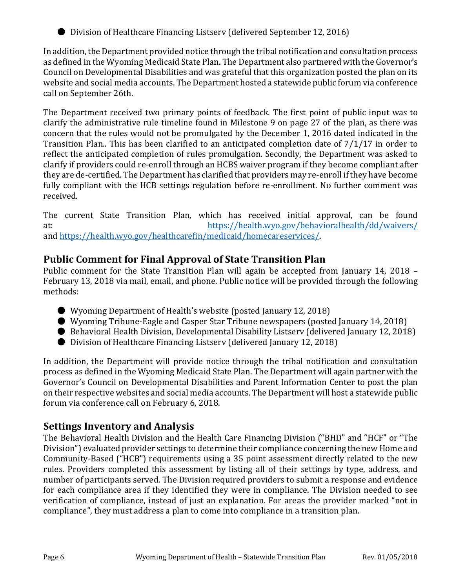● Division of Healthcare Financing Listsery (delivered September 12, 2016)

In addition, the Department provided notice through the tribal notification and consultation process as defined in the Wyoming Medicaid State Plan. The Department also partnered with the Governor's Council on Developmental Disabilities and was grateful that this organization posted the plan on its website and social media accounts. The Department hosted a statewide public forum via conference call on September 26th.

The Department received two primary points of feedback. The first point of public input was to clarify the administrative rule timeline found in Milestone 9 on page 27 of the plan, as there was concern that the rules would not be promulgated by the December 1, 2016 dated indicated in the Transition Plan.. This has been clarified to an anticipated completion date of 7/1/17 in order to reflect the anticipated completion of rules promulgation. Secondly, the Department was asked to clarify if providers could re-enroll through an HCBS waiver program if they become compliant after they are de-certified. The Department has clarified that providers may re-enroll if they have become fully compliant with the HCB settings regulation before re-enrollment. No further comment was received.

The current State Transition Plan, which has received initial approval, can be found at:<br>https://health.wyo.gov/behavioralhealth/dd/waivers/ at: [https://health.wyo.gov/behavioralhealth/dd/waivers/](https://health.wyo.gov/wp-content/uploads/2016/06/Initially-Approved-STP-5.3.2017.pdf) and [https://health.wyo.gov/healthcarefin/medicaid/homecareservices/.](https://health.wyo.gov/healthcarefin/medicaid/homecareservices/)

## **Public Comment for Final Approval of State Transition Plan**

Public comment for the State Transition Plan will again be accepted from January 14, 2018 – February 13, 2018 via mail, email, and phone. Public notice will be provided through the following methods:

- Wyoming Department of Health's website (posted January 12, 2018)
- Wyoming Tribune-Eagle and Casper Star Tribune newspapers (posted January 14, 2018)
- Behavioral Health Division, Developmental Disability Listsery (delivered January 12, 2018)
- Division of Healthcare Financing Listsery (delivered January 12, 2018)

In addition, the Department will provide notice through the tribal notification and consultation process as defined in the Wyoming Medicaid State Plan. The Department will again partner with the Governor's Council on Developmental Disabilities and Parent Information Center to post the plan on their respective websites and social media accounts. The Department will host a statewide public forum via conference call on February 6, 2018.

#### **Settings Inventory and Analysis**

The Behavioral Health Division and the Health Care Financing Division ("BHD" and "HCF" or "The Division") evaluated provider settings to determine their compliance concerning the new Home and Community-Based ("HCB") requirements using a 35 point assessment directly related to the new rules. Providers completed this assessment by listing all of their settings by type, address, and number of participants served. The Division required providers to submit a response and evidence for each compliance area if they identified they were in compliance. The Division needed to see verification of compliance, instead of just an explanation. For areas the provider marked "not in compliance", they must address a plan to come into compliance in a transition plan.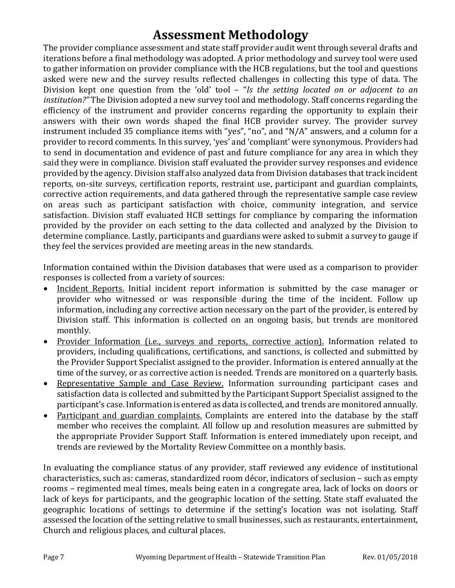# **Assessment Methodology**

The provider compliance assessment and state staff provider audit went through several drafts and iterations before a final methodology was adopted. A prior methodology and survey tool were used to gather information on provider compliance with the HCB regulations, but the tool and questions asked were new and the survey results reflected challenges in collecting this type of data. The Division kept one question from the 'old' tool – "*Is the setting located on or adjacent to an institution?"* The Division adopted a new survey tool and methodology. Staff concerns regarding the efficiency of the instrument and provider concerns regarding the opportunity to explain their answers with their own words shaped the final HCB provider survey. The provider survey instrument included 35 compliance items with "yes", "no", and "N/A" answers, and a column for a provider to record comments. In this survey, 'yes' and 'compliant' were synonymous. Providers had to send in documentation and evidence of past and future compliance for any area in which they said they were in compliance. Division staff evaluated the provider survey responses and evidence provided by the agency. Division staff also analyzed data from Division databases that track incident reports, on-site surveys, certification reports, restraint use, participant and guardian complaints, corrective action requirements, and data gathered through the representative sample case review on areas such as participant satisfaction with choice, community integration, and service satisfaction. Division staff evaluated HCB settings for compliance by comparing the information provided by the provider on each setting to the data collected and analyzed by the Division to determine compliance. Lastly, participants and guardians were asked to submit a survey to gauge if they feel the services provided are meeting areas in the new standards.

Information contained within the Division databases that were used as a comparison to provider responses is collected from a variety of sources:

- Incident Reports. Initial incident report information is submitted by the case manager or provider who witnessed or was responsible during the time of the incident. Follow up information, including any corrective action necessary on the part of the provider, is entered by Division staff. This information is collected on an ongoing basis, but trends are monitored monthly.
- Provider Information (i.e., surveys and reports, corrective action). Information related to providers, including qualifications, certifications, and sanctions, is collected and submitted by the Provider Support Specialist assigned to the provider. Information is entered annually at the time of the survey, or as corrective action is needed. Trends are monitored on a quarterly basis.
- Representative Sample and Case Review. Information surrounding participant cases and satisfaction data is collected and submitted by the Participant Support Specialist assigned to the participant's case. Information is entered as data is collected, and trends are monitored annually.
- Participant and guardian complaints. Complaints are entered into the database by the staff member who receives the complaint. All follow up and resolution measures are submitted by the appropriate Provider Support Staff. Information is entered immediately upon receipt, and trends are reviewed by the Mortality Review Committee on a monthly basis.

In evaluating the compliance status of any provider, staff reviewed any evidence of institutional characteristics, such as: cameras, standardized room décor, indicators of seclusion – such as empty rooms – regimented meal times, meals being eaten in a congregate area, lack of locks on doors or lack of keys for participants, and the geographic location of the setting. State staff evaluated the geographic locations of settings to determine if the setting's location was not isolating. Staff assessed the location of the setting relative to small businesses, such as restaurants, entertainment, Church and religious places, and cultural places.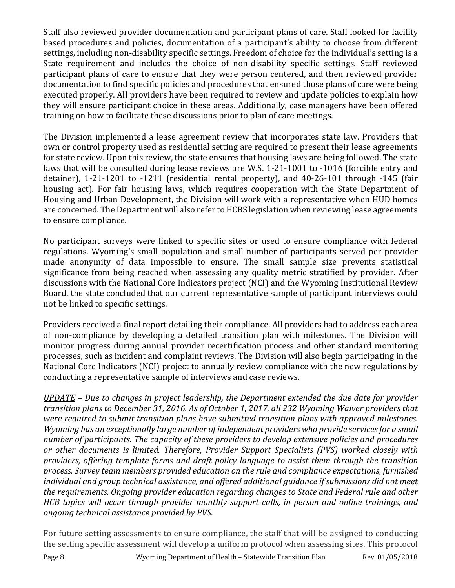Staff also reviewed provider documentation and participant plans of care. Staff looked for facility based procedures and policies, documentation of a participant's ability to choose from different settings, including non-disability specific settings. Freedom of choice for the individual's setting is a State requirement and includes the choice of non-disability specific settings. Staff reviewed participant plans of care to ensure that they were person centered, and then reviewed provider documentation to find specific policies and procedures that ensured those plans of care were being executed properly. All providers have been required to review and update policies to explain how they will ensure participant choice in these areas. Additionally, case managers have been offered training on how to facilitate these discussions prior to plan of care meetings.

The Division implemented a lease agreement review that incorporates state law. Providers that own or control property used as residential setting are required to present their lease agreements for state review. Upon this review, the state ensures that housing laws are being followed. The state laws that will be consulted during lease reviews are W.S. 1-21-1001 to -1016 (forcible entry and detainer), 1-21-1201 to -1211 (residential rental property), and 40-26-101 through -145 (fair housing act). For fair housing laws, which requires cooperation with the State Department of Housing and Urban Development, the Division will work with a representative when HUD homes are concerned. The Department will also refer to HCBS legislation when reviewing lease agreements to ensure compliance.

No participant surveys were linked to specific sites or used to ensure compliance with federal regulations. Wyoming's small population and small number of participants served per provider made anonymity of data impossible to ensure. The small sample size prevents statistical significance from being reached when assessing any quality metric stratified by provider. After discussions with the National Core Indicators project (NCI) and the Wyoming Institutional Review Board, the state concluded that our current representative sample of participant interviews could not be linked to specific settings.

Providers received a final report detailing their compliance. All providers had to address each area of non-compliance by developing a detailed transition plan with milestones. The Division will monitor progress during annual provider recertification process and other standard monitoring processes, such as incident and complaint reviews. The Division will also begin participating in the National Core Indicators (NCI) project to annually review compliance with the new regulations by conducting a representative sample of interviews and case reviews.

*UPDATE – Due to changes in project leadership, the Department extended the due date for provider transition plans to December 31, 2016. As of October 1, 2017, all 232 Wyoming Waiver providers that were required to submit transition plans have submitted transition plans with approved milestones. Wyoming has an exceptionally large number of independent providers who provide services for a small number of participants. The capacity of these providers to develop extensive policies and procedures or other documents is limited. Therefore, Provider Support Specialists (PVS) worked closely with providers, offering template forms and draft policy language to assist them through the transition process. Survey team members provided education on the rule and compliance expectations, furnished individual and group technical assistance, and offered additional guidance if submissions did not meet the requirements. Ongoing provider education regarding changes to State and Federal rule and other HCB topics will occur through provider monthly support calls, in person and online trainings, and ongoing technical assistance provided by PVS.*

For future setting assessments to ensure compliance, the staff that will be assigned to conducting the setting specific assessment will develop a uniform protocol when assessing sites. This protocol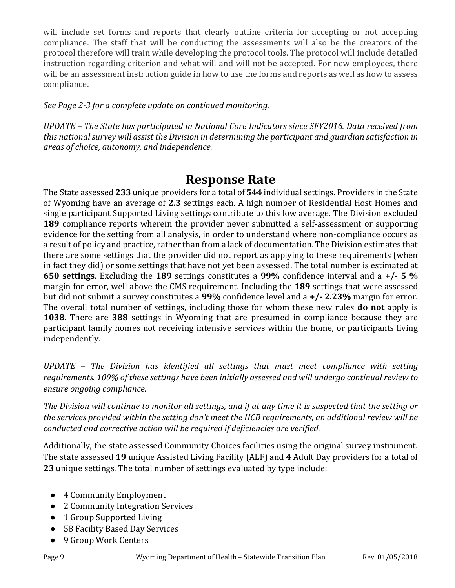will include set forms and reports that clearly outline criteria for accepting or not accepting compliance. The staff that will be conducting the assessments will also be the creators of the protocol therefore will train while developing the protocol tools. The protocol will include detailed instruction regarding criterion and what will and will not be accepted. For new employees, there will be an assessment instruction guide in how to use the forms and reports as well as how to assess compliance.

#### *See Page 2-3 for a complete update on continued monitoring.*

*UPDATE – The State has participated in National Core Indicators since SFY2016. Data received from this national survey will assist the Division in determining the participant and guardian satisfaction in areas of choice, autonomy, and independence.*

## **Response Rate**

The State assessed **233** unique providers for a total of **544** individual settings. Providers in the State of Wyoming have an average of **2.3** settings each. A high number of Residential Host Homes and single participant Supported Living settings contribute to this low average. The Division excluded **189** compliance reports wherein the provider never submitted a self-assessment or supporting evidence for the setting from all analysis, in order to understand where non-compliance occurs as a result of policy and practice, rather than from a lack of documentation. The Division estimates that there are some settings that the provider did not report as applying to these requirements (when in fact they did) or some settings that have not yet been assessed. The total number is estimated at **650 settings.** Excluding the **189** settings constitutes a **99%** confidence interval and a **+/- 5 %** margin for error, well above the CMS requirement. Including the **189** settings that were assessed but did not submit a survey constitutes a **99%** confidence level and a **+/- 2.23%** margin for error. The overall total number of settings, including those for whom these new rules **do not** apply is **1038**. There are **388** settings in Wyoming that are presumed in compliance because they are participant family homes not receiving intensive services within the home, or participants living independently.

*UPDATE – The Division has identified all settings that must meet compliance with setting requirements. 100% of these settings have been initially assessed and will undergo continual review to ensure ongoing compliance.*

*The Division will continue to monitor all settings, and if at any time it is suspected that the setting or the services provided within the setting don't meet the HCB requirements, an additional review will be conducted and corrective action will be required if deficiencies are verified.*

Additionally, the state assessed Community Choices facilities using the original survey instrument. The state assessed **19** unique Assisted Living Facility (ALF) and **4** Adult Day providers for a total of **23** unique settings. The total number of settings evaluated by type include:

- 4 Community Employment
- 2 Community Integration Services
- 1 Group Supported Living
- 58 Facility Based Day Services
- 9 Group Work Centers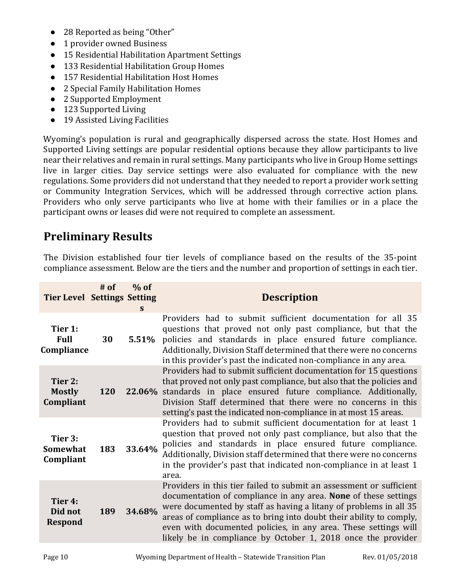- 28 Reported as being "Other"
- 1 provider owned Business
- 15 Residential Habilitation Apartment Settings
- 133 Residential Habilitation Group Homes
- 157 Residential Habilitation Host Homes
- 2 Special Family Habilitation Homes
- 2 Supported Employment
- 123 Supported Living
- 19 Assisted Living Facilities

Wyoming's population is rural and geographically dispersed across the state. Host Homes and Supported Living settings are popular residential options because they allow participants to live near their relatives and remain in rural settings. Many participants who live in Group Home settings live in larger cities. Day service settings were also evaluated for compliance with the new regulations. Some providers did not understand that they needed to report a provider work setting or Community Integration Services, which will be addressed through corrective action plans. Providers who only serve participants who live at home with their families or in a place the participant owns or leases did were not required to complete an assessment.

## **Preliminary Results**

The Division established four tier levels of compliance based on the results of the 35-point compliance assessment. Below are the tiers and the number and proportion of settings in each tier.

| <b>Tier Level Settings Setting</b>      | $#$ of | $%$ of<br>S. | <b>Description</b>                                                                                                                                                                                                                                                                                                                                                                                                    |
|-----------------------------------------|--------|--------------|-----------------------------------------------------------------------------------------------------------------------------------------------------------------------------------------------------------------------------------------------------------------------------------------------------------------------------------------------------------------------------------------------------------------------|
| Tier 1:<br><b>Full</b><br>Compliance    | 30     | 5.51%        | Providers had to submit sufficient documentation for all 35<br>questions that proved not only past compliance, but that the<br>policies and standards in place ensured future compliance.<br>Additionally, Division Staff determined that there were no concerns<br>in this provider's past the indicated non-compliance in any area.                                                                                 |
| Tier 2:<br><b>Mostly</b><br>Compliant   | 120    |              | Providers had to submit sufficient documentation for 15 questions<br>that proved not only past compliance, but also that the policies and<br>22.06% standards in place ensured future compliance. Additionally,<br>Division Staff determined that there were no concerns in this<br>setting's past the indicated non-compliance in at most 15 areas.                                                                  |
| Tier 3:<br><b>Somewhat</b><br>Compliant | 183    | 33.64%       | Providers had to submit sufficient documentation for at least 1<br>question that proved not only past compliance, but also that the<br>policies and standards in place ensured future compliance.<br>Additionally, Division staff determined that there were no concerns<br>in the provider's past that indicated non-compliance in at least 1<br>area.                                                               |
| Tier 4:<br>Did not<br><b>Respond</b>    | 189    | 34.68%       | Providers in this tier failed to submit an assessment or sufficient<br>documentation of compliance in any area. None of these settings<br>were documented by staff as having a litany of problems in all 35<br>areas of compliance as to bring into doubt their ability to comply,<br>even with documented policies, in any area. These settings will<br>likely be in compliance by October 1, 2018 once the provider |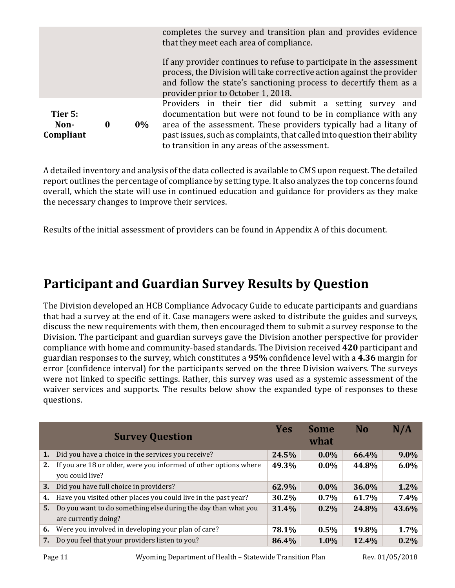|                              |          |       | completes the survey and transition plan and provides evidence<br>that they meet each area of compliance.                                                                                                                                                                                                                  |  |  |  |
|------------------------------|----------|-------|----------------------------------------------------------------------------------------------------------------------------------------------------------------------------------------------------------------------------------------------------------------------------------------------------------------------------|--|--|--|
|                              |          |       | If any provider continues to refuse to participate in the assessment<br>process, the Division will take corrective action against the provider<br>and follow the state's sanctioning process to decertify them as a<br>provider prior to October 1, 2018.                                                                  |  |  |  |
| Tier 5:<br>Non-<br>Compliant | $\bf{0}$ | $0\%$ | Providers in their tier did submit a setting survey and<br>documentation but were not found to be in compliance with any<br>area of the assessment. These providers typically had a litany of<br>past issues, such as complaints, that called into question their ability<br>to transition in any areas of the assessment. |  |  |  |

A detailed inventory and analysis of the data collected is available to CMS upon request. The detailed report outlines the percentage of compliance by setting type. It also analyzes the top concerns found overall, which the state will use in continued education and guidance for providers as they make the necessary changes to improve their services.

Results of the initial assessment of providers can be found in Appendix A of this document.

# **Participant and Guardian Survey Results by Question**

The Division developed an HCB Compliance Advocacy Guide to educate participants and guardians that had a survey at the end of it. Case managers were asked to distribute the guides and surveys, discuss the new requirements with them, then encouraged them to submit a survey response to the Division. The participant and guardian surveys gave the Division another perspective for provider compliance with home and community-based standards. The Division received **420** participant and guardian responses to the survey, which constitutes a **95%** confidence level with a **4.36** margin for error (confidence interval) for the participants served on the three Division waivers. The surveys were not linked to specific settings. Rather, this survey was used as a systemic assessment of the waiver services and supports. The results below show the expanded type of responses to these questions.

|    | <b>Survey Question</b>                                                                | <b>Yes</b> | <b>Some</b><br>what | <b>No</b> | N/A   |
|----|---------------------------------------------------------------------------------------|------------|---------------------|-----------|-------|
| 1. | Did you have a choice in the services you receive?                                    | 24.5%      | $0.0\%$             | 66.4%     | 9.0%  |
| 2. | If you are 18 or older, were you informed of other options where<br>you could live?   | 49.3%      | $0.0\%$             | 44.8%     | 6.0%  |
| 3. | Did you have full choice in providers?                                                | 62.9%      | $0.0\%$             | 36.0%     | 1.2%  |
| 4. | Have you visited other places you could live in the past year?                        | 30.2%      | $0.7\%$             | 61.7%     | 7.4%  |
| 5. | Do you want to do something else during the day than what you<br>are currently doing? | 31.4%      | $0.2\%$             | 24.8%     | 43.6% |
| 6. | Were you involved in developing your plan of care?                                    | 78.1%      | 0.5%                | 19.8%     | 1.7%  |
| 7. | Do you feel that your providers listen to you?                                        | 86.4%      | 1.0%                | 12.4%     | 0.2%  |

Page 11 Wyoming Department of Health – Statewide Transition Plan Rev. 01/05/2018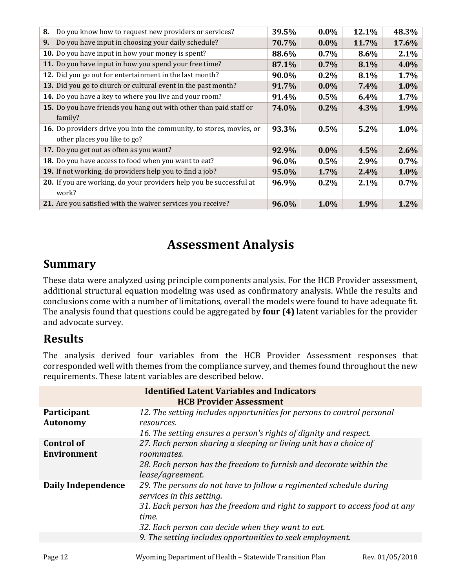| 8. | Do you know how to request new providers or services?                                                | 39.5% | $0.0\%$ | 12.1% | 48.3%   |
|----|------------------------------------------------------------------------------------------------------|-------|---------|-------|---------|
| 9. | Do you have input in choosing your daily schedule?                                                   | 70.7% | $0.0\%$ | 11.7% | 17.6%   |
|    | 10. Do you have input in how your money is spent?                                                    | 88.6% | $0.7\%$ | 8.6%  | 2.1%    |
|    | 11. Do you have input in how you spend your free time?                                               | 87.1% | $0.7\%$ | 8.1%  | 4.0%    |
|    | 12. Did you go out for entertainment in the last month?                                              | 90.0% | $0.2\%$ | 8.1%  | 1.7%    |
|    | 13. Did you go to church or cultural event in the past month?                                        | 91.7% | $0.0\%$ | 7.4%  | 1.0%    |
|    | 14. Do you have a key to where you live and your room?                                               | 91.4% | 0.5%    | 6.4%  | 1.7%    |
|    | 15. Do you have friends you hang out with other than paid staff or<br>family?                        | 74.0% | $0.2\%$ | 4.3%  | 1.9%    |
|    | 16. Do providers drive you into the community, to stores, movies, or<br>other places you like to go? | 93.3% | 0.5%    | 5.2%  | $1.0\%$ |
|    | 17. Do you get out as often as you want?                                                             | 92.9% | $0.0\%$ | 4.5%  | 2.6%    |
|    | 18. Do you have access to food when you want to eat?                                                 | 96.0% | 0.5%    | 2.9%  | 0.7%    |
|    | 19. If not working, do providers help you to find a job?                                             | 95.0% | 1.7%    | 2.4%  | 1.0%    |
|    | 20. If you are working, do your providers help you be successful at<br>work?                         | 96.9% | $0.2\%$ | 2.1%  | $0.7\%$ |
|    | 21. Are you satisfied with the waiver services you receive?                                          | 96.0% | 1.0%    | 1.9%  | 1.2%    |

# **Assessment Analysis**

## **Summary**

These data were analyzed using principle components analysis. For the HCB Provider assessment, additional structural equation modeling was used as confirmatory analysis. While the results and conclusions come with a number of limitations, overall the models were found to have adequate fit. The analysis found that questions could be aggregated by **four (4)** latent variables for the provider and advocate survey.

## **Results**

The analysis derived four variables from the HCB Provider Assessment responses that corresponded well with themes from the compliance survey, and themes found throughout the new requirements. These latent variables are described below.

|                                         | <b>Identified Latent Variables and Indicators</b><br><b>HCB Provider Assessment</b>                                                                                                                                                         |
|-----------------------------------------|---------------------------------------------------------------------------------------------------------------------------------------------------------------------------------------------------------------------------------------------|
| Participant<br><b>Autonomy</b>          | 12. The setting includes opportunities for persons to control personal<br>resources.<br>16. The setting ensures a person's rights of dignity and respect.                                                                                   |
| <b>Control of</b><br><b>Environment</b> | 27. Each person sharing a sleeping or living unit has a choice of<br>roommates.<br>28. Each person has the freedom to furnish and decorate within the<br>lease/agreement.                                                                   |
| Daily Independence                      | 29. The persons do not have to follow a regimented schedule during<br>services in this setting.<br>31. Each person has the freedom and right to support to access food at any<br>time.<br>32. Each person can decide when they want to eat. |
|                                         | 9. The setting includes opportunities to seek employment.                                                                                                                                                                                   |
|                                         |                                                                                                                                                                                                                                             |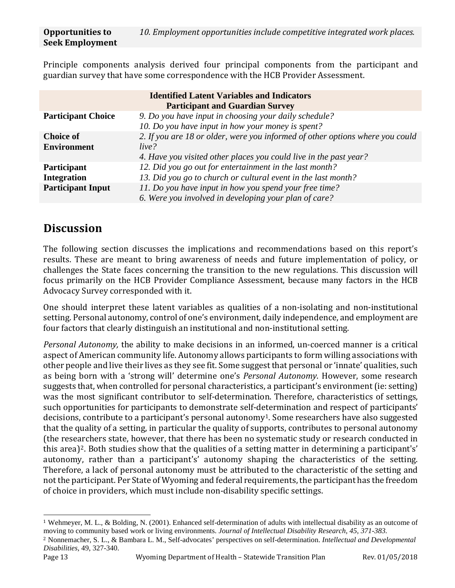Principle components analysis derived four principal components from the participant and guardian survey that have some correspondence with the HCB Provider Assessment.

| <b>Identified Latent Variables and Indicators</b> |                                                                               |  |
|---------------------------------------------------|-------------------------------------------------------------------------------|--|
|                                                   | <b>Participant and Guardian Survey</b>                                        |  |
| <b>Participant Choice</b>                         | 9. Do you have input in choosing your daily schedule?                         |  |
|                                                   | 10. Do you have input in how your money is spent?                             |  |
| <b>Choice of</b>                                  | 2. If you are 18 or older, were you informed of other options where you could |  |
| <b>Environment</b>                                | live?                                                                         |  |
|                                                   | 4. Have you visited other places you could live in the past year?             |  |
| <b>Participant</b>                                | 12. Did you go out for entertainment in the last month?                       |  |
| <b>Integration</b>                                | 13. Did you go to church or cultural event in the last month?                 |  |
| <b>Participant Input</b>                          | 11. Do you have input in how you spend your free time?                        |  |
|                                                   | 6. Were you involved in developing your plan of care?                         |  |

## **Discussion**

The following section discusses the implications and recommendations based on this report's results. These are meant to bring awareness of needs and future implementation of policy, or challenges the State faces concerning the transition to the new regulations. This discussion will focus primarily on the HCB Provider Compliance Assessment, because many factors in the HCB Advocacy Survey corresponded with it.

One should interpret these latent variables as qualities of a non-isolating and non-institutional setting. Personal autonomy, control of one's environment, daily independence, and employment are four factors that clearly distinguish an institutional and non-institutional setting.

*Personal Autonomy,* the ability to make decisions in an informed, un-coerced manner is a critical aspect of American community life. Autonomy allows participants to form willing associations with other people and live their lives as they see fit. Some suggest that personal or 'innate' qualities, such as being born with a 'strong will' determine one's *Personal Autonomy*. However, some research suggests that, when controlled for personal characteristics, a participant's environment (ie: setting) was the most significant contributor to self-determination. Therefore, characteristics of settings, such opportunities for participants to demonstrate self-determination and respect of participants' decisions, contribute to a participant's personal autonomy<sup>1</sup>. Some researchers have also suggested that the quality of a setting, in particular the quality of supports, contributes to personal autonomy (the researchers state, however, that there has been no systematic study or research conducted in this area)<sup>[2](#page-12-1)</sup>. Both studies show that the qualities of a setting matter in determining a participant's' autonomy, rather than a participant's' autonomy shaping the characteristics of the setting. Therefore, a lack of personal autonomy must be attributed to the characteristic of the setting and not the participant. Per State of Wyoming and federal requirements, the participant has the freedom of choice in providers, which must include non-disability specific settings.

<span id="page-12-0"></span> <sup>1</sup> Wehmeyer, M. L., & Bolding, N. (2001). Enhanced self-determination of adults with intellectual disability as an outcome of moving to community based work or living environments. *Journal of Intellectual Disability Research, 45, 371-383.*

<span id="page-12-1"></span><sup>2</sup> Nonnemacher, S. L., & Bambara L. M., Self-advocates' perspectives on self-determination. *Intellectual and Developmental Disabilities,* 49, 327-340.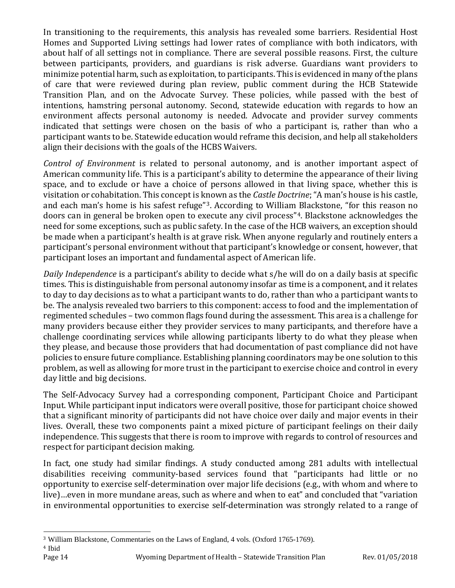In transitioning to the requirements, this analysis has revealed some barriers. Residential Host Homes and Supported Living settings had lower rates of compliance with both indicators, with about half of all settings not in compliance. There are several possible reasons. First, the culture between participants, providers, and guardians is risk adverse. Guardians want providers to minimize potential harm, such as exploitation, to participants. This is evidenced in many of the plans of care that were reviewed during plan review, public comment during the HCB Statewide Transition Plan, and on the Advocate Survey. These policies, while passed with the best of intentions, hamstring personal autonomy. Second, statewide education with regards to how an environment affects personal autonomy is needed. Advocate and provider survey comments indicated that settings were chosen on the basis of who a participant is, rather than who a participant wants to be. Statewide education would reframe this decision, and help all stakeholders align their decisions with the goals of the HCBS Waivers.

*Control of Environment* is related to personal autonomy, and is another important aspect of American community life. This is a participant's ability to determine the appearance of their living space, and to exclude or have a choice of persons allowed in that living space, whether this is visitation or cohabitation. This concept is known as the *Castle Doctrine*; "A man's house is his castle, and each man's home is his safest refuge"[3](#page-13-0). According to William [B](#page-13-1)lackstone, "for this reason no doors can in general be broken open to execute any civil process"4. Blackstone acknowledges the need for some exceptions, such as public safety. In the case of the HCB waivers, an exception should be made when a participant's health is at grave risk. When anyone regularly and routinely enters a participant's personal environment without that participant's knowledge or consent, however, that participant loses an important and fundamental aspect of American life.

*Daily Independence* is a participant's ability to decide what s/he will do on a daily basis at specific times. This is distinguishable from personal autonomy insofar as time is a component, and it relates to day to day decisions as to what a participant wants to do, rather than who a participant wants to be. The analysis revealed two barriers to this component: access to food and the implementation of regimented schedules – two common flags found during the assessment. This area is a challenge for many providers because either they provider services to many participants, and therefore have a challenge coordinating services while allowing participants liberty to do what they please when they please, and because those providers that had documentation of past compliance did not have policies to ensure future compliance. Establishing planning coordinators may be one solution to this problem, as well as allowing for more trust in the participant to exercise choice and control in every day little and big decisions.

The Self-Advocacy Survey had a corresponding component, Participant Choice and Participant Input. While participant input indicators were overall positive, those for participant choice showed that a significant minority of participants did not have choice over daily and major events in their lives. Overall, these two components paint a mixed picture of participant feelings on their daily independence. This suggests that there is room to improve with regards to control of resources and respect for participant decision making.

In fact, one study had similar findings. A study conducted among 281 adults with intellectual disabilities receiving community-based services found that "participants had little or no opportunity to exercise self-determination over major life decisions (e.g., with whom and where to live)…even in more mundane areas, such as where and when to eat" and concluded that "variation in environmental opportunities to exercise self-determination was strongly related to a range of

<span id="page-13-1"></span><span id="page-13-0"></span> <sup>3</sup> William Blackstone, Commentaries on the Laws of England, 4 vols. (Oxford 1765-1769).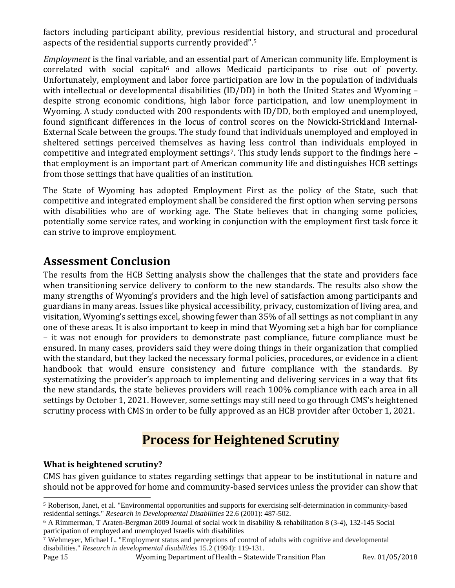factors including participant ability, previous residential history, and structural and procedural aspects of the residential supports currently provided".[5](#page-14-0)

*Employment* is the final variable, and an essential part of American community life. Employment is  $correlated$  with social capital<sup>[6](#page-14-1)</sup> and allows Medicaid participants to rise out of poverty. Unfortunately, employment and labor force participation are low in the population of individuals with intellectual or developmental disabilities (ID/DD) in both the United States and Wyoming – despite strong economic conditions, high labor force participation, and low unemployment in Wyoming. A study conducted with 200 respondents with ID/DD, both employed and unemployed, found significant differences in the locus of control scores on the Nowicki-Strickland Internal-External Scale between the groups. The study found that individuals unemployed and employed in sheltered settings perceived themselves as having less control than individuals employed in competitive and integrated employment settings<sup>7</sup>. This study lends support to the findings here  $$ that employment is an important part of American community life and distinguishes HCB settings from those settings that have qualities of an institution.

The State of Wyoming has adopted Employment First as the policy of the State, such that competitive and integrated employment shall be considered the first option when serving persons with disabilities who are of working age. The State believes that in changing some policies, potentially some service rates, and working in conjunction with the employment first task force it can strive to improve employment.

## **Assessment Conclusion**

The results from the HCB Setting analysis show the challenges that the state and providers face when transitioning service delivery to conform to the new standards. The results also show the many strengths of Wyoming's providers and the high level of satisfaction among participants and guardians in many areas. Issues like physical accessibility, privacy, customization of living area, and visitation, Wyoming's settings excel, showing fewer than 35% of all settings as not compliant in any one of these areas. It is also important to keep in mind that Wyoming set a high bar for compliance – it was not enough for providers to demonstrate past compliance, future compliance must be ensured. In many cases, providers said they were doing things in their organization that complied with the standard, but they lacked the necessary formal policies, procedures, or evidence in a client handbook that would ensure consistency and future compliance with the standards. By systematizing the provider's approach to implementing and delivering services in a way that fits the new standards, the state believes providers will reach 100% compliance with each area in all settings by October 1, 2021. However, some settings may still need to go through CMS's heightened scrutiny process with CMS in order to be fully approved as an HCB provider after October 1, 2021.

## **Process for Heightened Scrutiny**

#### **What is heightened scrutiny?**

CMS has given guidance to states regarding settings that appear to be institutional in nature and should not be approved for home and community-based services unless the provider can show that

<span id="page-14-0"></span> <sup>5</sup> Robertson, Janet, et al. "Environmental opportunities and supports for exercising self-determination in community-based residential settings." *Research in Developmental Disabilities* 22.6 (2001): 487-502.

<span id="page-14-1"></span><sup>6</sup> A Rimmerman, T Araten-Bergman 2009 Journal of social work in disability & rehabilitation 8 (3-4), 132-145 Social participation of employed and unemployed Israelis with disabilities

<span id="page-14-2"></span><sup>7</sup> Wehmeyer, Michael L. "Employment status and perceptions of control of adults with cognitive and developmental disabilities." *Research in developmental disabilities* 15.2 (1994): 119-131.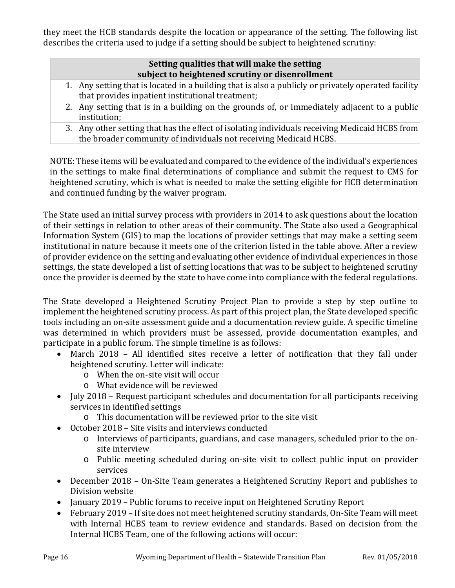they meet the HCB standards despite the location or appearance of the setting. The following list describes the criteria used to judge if a setting should be subject to heightened scrutiny:

#### **Setting qualities that will make the setting subject to heightened scrutiny or disenrollment**

- 1. Any setting that is located in a building that is also a publicly or privately operated facility that provides inpatient institutional treatment;
- 2. Any setting that is in a building on the grounds of, or immediately adjacent to a public institution;
- 3. Any other setting that has the effect of isolating individuals receiving Medicaid HCBS from the broader community of individuals not receiving Medicaid HCBS.

NOTE: These items will be evaluated and compared to the evidence of the individual's experiences in the settings to make final determinations of compliance and submit the request to CMS for heightened scrutiny, which is what is needed to make the setting eligible for HCB determination and continued funding by the waiver program.

The State used an initial survey process with providers in 2014 to ask questions about the location of their settings in relation to other areas of their community. The State also used a Geographical Information System (GIS) to map the locations of provider settings that may make a setting seem institutional in nature because it meets one of the criterion listed in the table above. After a review of provider evidence on the setting and evaluating other evidence of individual experiences in those settings, the state developed a list of setting locations that was to be subject to heightened scrutiny once the provider is deemed by the state to have come into compliance with the federal regulations.

The State developed a Heightened Scrutiny Project Plan to provide a step by step outline to implement the heightened scrutiny process. As part of this project plan, the State developed specific tools including an on-site assessment guide and a documentation review guide. A specific timeline was determined in which providers must be assessed, provide documentation examples, and participate in a public forum. The simple timeline is as follows:<br>• March 2018 – All identified sites receive a letter of

- March 2018 All identified sites receive a letter of notification that they fall under heightened scrutiny. Letter will indicate:
	- o When the on-site visit will occur
	- o What evidence will be reviewed
- July 2018 Request participant schedules and documentation for all participants receiving services in identified settings
	- o This documentation will be reviewed prior to the site visit
- October 2018 Site visits and interviews conducted
	- o Interviews of participants, guardians, and case managers, scheduled prior to the onsite interview
	- o Public meeting scheduled during on-site visit to collect public input on provider services
- December 2018 On-Site Team generates a Heightened Scrutiny Report and publishes to Division website
- January 2019 Public forums to receive input on Heightened Scrutiny Report
- February 2019 If site does not meet heightened scrutiny standards, On-Site Team will meet with Internal HCBS team to review evidence and standards. Based on decision from the Internal HCBS Team, one of the following actions will occur: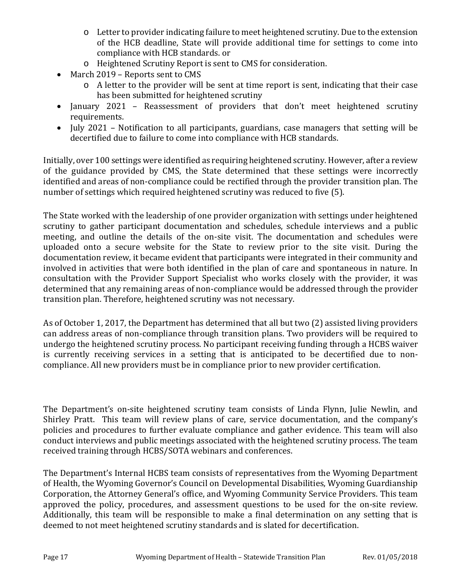- o Letter to provider indicating failure to meet heightened scrutiny. Due to the extension of the HCB deadline, State will provide additional time for settings to come into compliance with HCB standards. or
- o Heightened Scrutiny Report is sent to CMS for consideration.
- March 2019 Reports sent to CMS
	- o A letter to the provider will be sent at time report is sent, indicating that their case has been submitted for heightened scrutiny
- January 2021 Reassessment of providers that don't meet heightened scrutiny requirements.
- July 2021 Notification to all participants, guardians, case managers that setting will be decertified due to failure to come into compliance with HCB standards.

Initially, over 100 settings were identified as requiring heightened scrutiny. However, after a review of the guidance provided by CMS, the State determined that these settings were incorrectly identified and areas of non-compliance could be rectified through the provider transition plan. The number of settings which required heightened scrutiny was reduced to five (5).

The State worked with the leadership of one provider organization with settings under heightened scrutiny to gather participant documentation and schedules, schedule interviews and a public meeting, and outline the details of the on-site visit. The documentation and schedules were uploaded onto a secure website for the State to review prior to the site visit. During the documentation review, it became evident that participants were integrated in their community and involved in activities that were both identified in the plan of care and spontaneous in nature. In consultation with the Provider Support Specialist who works closely with the provider, it was determined that any remaining areas of non-compliance would be addressed through the provider transition plan. Therefore, heightened scrutiny was not necessary.

As of October 1, 2017, the Department has determined that all but two (2) assisted living providers can address areas of non-compliance through transition plans. Two providers will be required to undergo the heightened scrutiny process. No participant receiving funding through a HCBS waiver is currently receiving services in a setting that is anticipated to be decertified due to noncompliance. All new providers must be in compliance prior to new provider certification.

The Department's on-site heightened scrutiny team consists of Linda Flynn, Julie Newlin, and Shirley Pratt. This team will review plans of care, service documentation, and the company's policies and procedures to further evaluate compliance and gather evidence. This team will also conduct interviews and public meetings associated with the heightened scrutiny process. The team received training through HCBS/SOTA webinars and conferences.

The Department's Internal HCBS team consists of representatives from the Wyoming Department of Health, the Wyoming Governor's Council on Developmental Disabilities, Wyoming Guardianship Corporation, the Attorney General's office, and Wyoming Community Service Providers. This team approved the policy, procedures, and assessment questions to be used for the on-site review. Additionally, this team will be responsible to make a final determination on any setting that is deemed to not meet heightened scrutiny standards and is slated for decertification.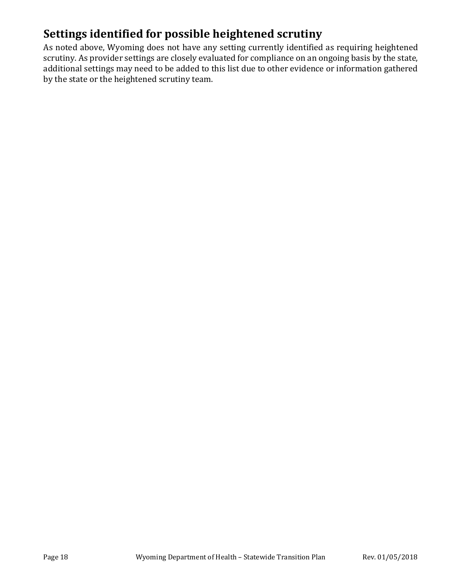## **Settings identified for possible heightened scrutiny**

As noted above, Wyoming does not have any setting currently identified as requiring heightened scrutiny. As provider settings are closely evaluated for compliance on an ongoing basis by the state, additional settings may need to be added to this list due to other evidence or information gathered by the state or the heightened scrutiny team.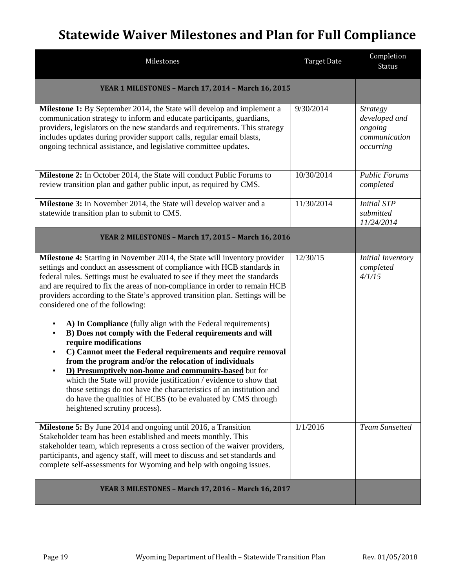# **Statewide Waiver Milestones and Plan for Full Compliance**

| Milestones                                                                                                                                                                                                                                                                                                                                                                                                                                                                                                                                                                                                                                                                                                                                                                                                                                                                                                                                                                                                                                          | <b>Target Date</b> | Completion<br><b>Status</b>                                               |
|-----------------------------------------------------------------------------------------------------------------------------------------------------------------------------------------------------------------------------------------------------------------------------------------------------------------------------------------------------------------------------------------------------------------------------------------------------------------------------------------------------------------------------------------------------------------------------------------------------------------------------------------------------------------------------------------------------------------------------------------------------------------------------------------------------------------------------------------------------------------------------------------------------------------------------------------------------------------------------------------------------------------------------------------------------|--------------------|---------------------------------------------------------------------------|
| YEAR 1 MILESTONES - March 17, 2014 - March 16, 2015                                                                                                                                                                                                                                                                                                                                                                                                                                                                                                                                                                                                                                                                                                                                                                                                                                                                                                                                                                                                 |                    |                                                                           |
| Milestone 1: By September 2014, the State will develop and implement a<br>communication strategy to inform and educate participants, guardians,<br>providers, legislators on the new standards and requirements. This strategy<br>includes updates during provider support calls, regular email blasts,<br>ongoing technical assistance, and legislative committee updates.                                                                                                                                                                                                                                                                                                                                                                                                                                                                                                                                                                                                                                                                         | 9/30/2014          | <b>Strategy</b><br>developed and<br>ongoing<br>communication<br>occurring |
| Milestone 2: In October 2014, the State will conduct Public Forums to<br>review transition plan and gather public input, as required by CMS.                                                                                                                                                                                                                                                                                                                                                                                                                                                                                                                                                                                                                                                                                                                                                                                                                                                                                                        | 10/30/2014         | <b>Public Forums</b><br>completed                                         |
| <b>Milestone 3:</b> In November 2014, the State will develop waiver and a<br>statewide transition plan to submit to CMS.                                                                                                                                                                                                                                                                                                                                                                                                                                                                                                                                                                                                                                                                                                                                                                                                                                                                                                                            | 11/30/2014         | <b>Initial STP</b><br>submitted<br>11/24/2014                             |
| YEAR 2 MILESTONES - March 17, 2015 - March 16, 2016                                                                                                                                                                                                                                                                                                                                                                                                                                                                                                                                                                                                                                                                                                                                                                                                                                                                                                                                                                                                 |                    |                                                                           |
| Milestone 4: Starting in November 2014, the State will inventory provider<br>settings and conduct an assessment of compliance with HCB standards in<br>federal rules. Settings must be evaluated to see if they meet the standards<br>and are required to fix the areas of non-compliance in order to remain HCB<br>providers according to the State's approved transition plan. Settings will be<br>considered one of the following:<br>A) In Compliance (fully align with the Federal requirements)<br>B) Does not comply with the Federal requirements and will<br>$\blacksquare$<br>require modifications<br>C) Cannot meet the Federal requirements and require removal<br>٠<br>from the program and/or the relocation of individuals<br>D) Presumptively non-home and community-based but for<br>which the State will provide justification / evidence to show that<br>those settings do not have the characteristics of an institution and<br>do have the qualities of HCBS (to be evaluated by CMS through<br>heightened scrutiny process). | 12/30/15           | <b>Initial Inventory</b><br>completed<br>4/1/15                           |
| Milestone 5: By June 2014 and ongoing until 2016, a Transition<br>Stakeholder team has been established and meets monthly. This<br>stakeholder team, which represents a cross section of the waiver providers,<br>participants, and agency staff, will meet to discuss and set standards and<br>complete self-assessments for Wyoming and help with ongoing issues.                                                                                                                                                                                                                                                                                                                                                                                                                                                                                                                                                                                                                                                                                 | 1/1/2016           | <b>Team Sunsetted</b>                                                     |
| YEAR 3 MILESTONES - March 17, 2016 - March 16, 2017                                                                                                                                                                                                                                                                                                                                                                                                                                                                                                                                                                                                                                                                                                                                                                                                                                                                                                                                                                                                 |                    |                                                                           |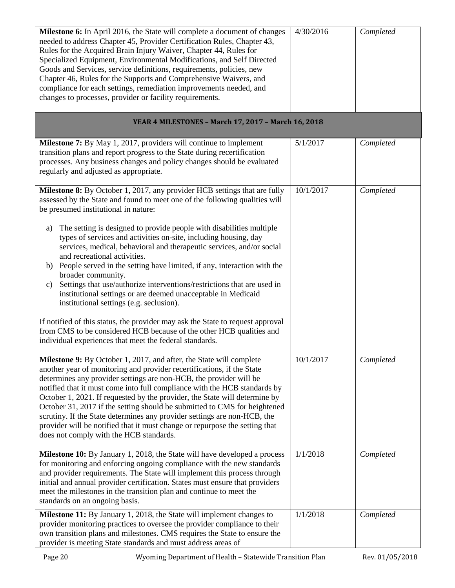| Milestone 6: In April 2016, the State will complete a document of changes<br>needed to address Chapter 45, Provider Certification Rules, Chapter 43,<br>Rules for the Acquired Brain Injury Waiver, Chapter 44, Rules for<br>Specialized Equipment, Environmental Modifications, and Self Directed<br>Goods and Services, service definitions, requirements, policies, new<br>Chapter 46, Rules for the Supports and Comprehensive Waivers, and<br>compliance for each settings, remediation improvements needed, and<br>changes to processes, provider or facility requirements.                                                                                 | 4/30/2016 | Completed |
|-------------------------------------------------------------------------------------------------------------------------------------------------------------------------------------------------------------------------------------------------------------------------------------------------------------------------------------------------------------------------------------------------------------------------------------------------------------------------------------------------------------------------------------------------------------------------------------------------------------------------------------------------------------------|-----------|-----------|
| YEAR 4 MILESTONES - March 17, 2017 - March 16, 2018                                                                                                                                                                                                                                                                                                                                                                                                                                                                                                                                                                                                               |           |           |
| <b>Milestone 7:</b> By May 1, 2017, providers will continue to implement<br>transition plans and report progress to the State during recertification<br>processes. Any business changes and policy changes should be evaluated<br>regularly and adjusted as appropriate.                                                                                                                                                                                                                                                                                                                                                                                          | 5/1/2017  | Completed |
| Milestone 8: By October 1, 2017, any provider HCB settings that are fully<br>assessed by the State and found to meet one of the following qualities will<br>be presumed institutional in nature:                                                                                                                                                                                                                                                                                                                                                                                                                                                                  | 10/1/2017 | Completed |
| The setting is designed to provide people with disabilities multiple<br>a)<br>types of services and activities on-site, including housing, day<br>services, medical, behavioral and therapeutic services, and/or social<br>and recreational activities.<br>b) People served in the setting have limited, if any, interaction with the<br>broader community.<br>Settings that use/authorize interventions/restrictions that are used in<br>C)<br>institutional settings or are deemed unacceptable in Medicaid<br>institutional settings (e.g. seclusion).                                                                                                         |           |           |
| If notified of this status, the provider may ask the State to request approval<br>from CMS to be considered HCB because of the other HCB qualities and<br>individual experiences that meet the federal standards.                                                                                                                                                                                                                                                                                                                                                                                                                                                 |           |           |
| Milestone 9: By October 1, 2017, and after, the State will complete<br>another year of monitoring and provider recertifications, if the State<br>determines any provider settings are non-HCB, the provider will be<br>notified that it must come into full compliance with the HCB standards by<br>October 1, 2021. If requested by the provider, the State will determine by<br>October 31, 2017 if the setting should be submitted to CMS for heightened<br>scrutiny. If the State determines any provider settings are non-HCB, the<br>provider will be notified that it must change or repurpose the setting that<br>does not comply with the HCB standards. | 10/1/2017 | Completed |
| Milestone 10: By January 1, 2018, the State will have developed a process<br>for monitoring and enforcing ongoing compliance with the new standards<br>and provider requirements. The State will implement this process through<br>initial and annual provider certification. States must ensure that providers<br>meet the milestones in the transition plan and continue to meet the<br>standards on an ongoing basis.                                                                                                                                                                                                                                          | 1/1/2018  | Completed |
| Milestone 11: By January 1, 2018, the State will implement changes to<br>provider monitoring practices to oversee the provider compliance to their<br>own transition plans and milestones. CMS requires the State to ensure the<br>provider is meeting State standards and must address areas of                                                                                                                                                                                                                                                                                                                                                                  | 1/1/2018  | Completed |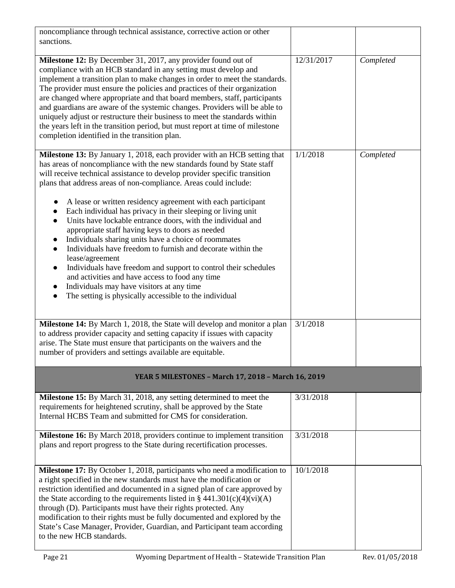| noncompliance through technical assistance, corrective action or other<br>sanctions.                                                                                                                                                                                                                                                                                                                                                                                                                                                                                                                                                                                    |            |           |
|-------------------------------------------------------------------------------------------------------------------------------------------------------------------------------------------------------------------------------------------------------------------------------------------------------------------------------------------------------------------------------------------------------------------------------------------------------------------------------------------------------------------------------------------------------------------------------------------------------------------------------------------------------------------------|------------|-----------|
| Milestone 12: By December 31, 2017, any provider found out of<br>compliance with an HCB standard in any setting must develop and<br>implement a transition plan to make changes in order to meet the standards.<br>The provider must ensure the policies and practices of their organization<br>are changed where appropriate and that board members, staff, participants<br>and guardians are aware of the systemic changes. Providers will be able to<br>uniquely adjust or restructure their business to meet the standards within<br>the years left in the transition period, but must report at time of milestone<br>completion identified in the transition plan. | 12/31/2017 | Completed |
| Milestone 13: By January 1, 2018, each provider with an HCB setting that<br>has areas of noncompliance with the new standards found by State staff<br>will receive technical assistance to develop provider specific transition<br>plans that address areas of non-compliance. Areas could include:<br>A lease or written residency agreement with each participant                                                                                                                                                                                                                                                                                                     | 1/1/2018   | Completed |
| Each individual has privacy in their sleeping or living unit<br>Units have lockable entrance doors, with the individual and<br>$\bullet$<br>appropriate staff having keys to doors as needed<br>Individuals sharing units have a choice of roommates<br>$\bullet$<br>Individuals have freedom to furnish and decorate within the<br>$\bullet$<br>lease/agreement                                                                                                                                                                                                                                                                                                        |            |           |
| Individuals have freedom and support to control their schedules<br>$\bullet$<br>and activities and have access to food any time<br>Individuals may have visitors at any time<br>$\bullet$<br>The setting is physically accessible to the individual<br>$\bullet$                                                                                                                                                                                                                                                                                                                                                                                                        |            |           |
| Milestone 14: By March 1, 2018, the State will develop and monitor a plan<br>to address provider capacity and setting capacity if issues with capacity<br>arise. The State must ensure that participants on the waivers and the<br>number of providers and settings available are equitable.                                                                                                                                                                                                                                                                                                                                                                            | 3/1/2018   |           |
| YEAR 5 MILESTONES - March 17, 2018 - March 16, 2019                                                                                                                                                                                                                                                                                                                                                                                                                                                                                                                                                                                                                     |            |           |
| Milestone 15: By March 31, 2018, any setting determined to meet the<br>requirements for heightened scrutiny, shall be approved by the State<br>Internal HCBS Team and submitted for CMS for consideration.                                                                                                                                                                                                                                                                                                                                                                                                                                                              | 3/31/2018  |           |
| <b>Milestone 16:</b> By March 2018, providers continue to implement transition<br>plans and report progress to the State during recertification processes.                                                                                                                                                                                                                                                                                                                                                                                                                                                                                                              | 3/31/2018  |           |
| Milestone 17: By October 1, 2018, participants who need a modification to<br>a right specified in the new standards must have the modification or<br>restriction identified and documented in a signed plan of care approved by<br>the State according to the requirements listed in $\S$ 441.301(c)(4)(vi)(A)<br>through (D). Participants must have their rights protected. Any<br>modification to their rights must be fully documented and explored by the<br>State's Case Manager, Provider, Guardian, and Participant team according<br>to the new HCB standards.                                                                                                 | 10/1/2018  |           |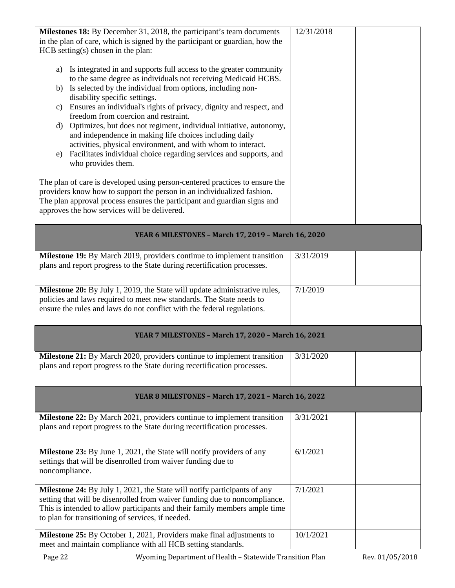| Milestones 18: By December 31, 2018, the participant's team documents                                                                                      | 12/31/2018 |
|------------------------------------------------------------------------------------------------------------------------------------------------------------|------------|
| in the plan of care, which is signed by the participant or guardian, how the<br>HCB setting(s) chosen in the plan:                                         |            |
|                                                                                                                                                            |            |
| Is integrated in and supports full access to the greater community<br>a)                                                                                   |            |
| to the same degree as individuals not receiving Medicaid HCBS.<br>b) Is selected by the individual from options, including non-                            |            |
| disability specific settings.                                                                                                                              |            |
| Ensures an individual's rights of privacy, dignity and respect, and<br>C)                                                                                  |            |
| freedom from coercion and restraint.<br>Optimizes, but does not regiment, individual initiative, autonomy,<br>d)                                           |            |
| and independence in making life choices including daily                                                                                                    |            |
| activities, physical environment, and with whom to interact.<br>Facilitates individual choice regarding services and supports, and                         |            |
| e)<br>who provides them.                                                                                                                                   |            |
|                                                                                                                                                            |            |
| The plan of care is developed using person-centered practices to ensure the<br>providers know how to support the person in an individualized fashion.      |            |
| The plan approval process ensures the participant and guardian signs and                                                                                   |            |
| approves the how services will be delivered.                                                                                                               |            |
|                                                                                                                                                            |            |
| YEAR 6 MILESTONES - March 17, 2019 - March 16, 2020                                                                                                        |            |
| Milestone 19: By March 2019, providers continue to implement transition                                                                                    | 3/31/2019  |
| plans and report progress to the State during recertification processes.                                                                                   |            |
|                                                                                                                                                            |            |
| Milestone 20: By July 1, 2019, the State will update administrative rules,<br>policies and laws required to meet new standards. The State needs to         | 7/1/2019   |
| ensure the rules and laws do not conflict with the federal regulations.                                                                                    |            |
|                                                                                                                                                            |            |
| YEAR 7 MILESTONES - March 17, 2020 - March 16, 2021                                                                                                        |            |
|                                                                                                                                                            |            |
| <b>Milestone 21:</b> By March 2020, providers continue to implement transition<br>plans and report progress to the State during recertification processes. | 3/31/2020  |
|                                                                                                                                                            |            |
|                                                                                                                                                            |            |
| YEAR 8 MILESTONES - March 17, 2021 - March 16, 2022                                                                                                        |            |
| <b>Milestone 22:</b> By March 2021, providers continue to implement transition                                                                             | 3/31/2021  |
| plans and report progress to the State during recertification processes.                                                                                   |            |
|                                                                                                                                                            |            |
| Milestone 23: By June 1, 2021, the State will notify providers of any<br>settings that will be disenrolled from waiver funding due to                      | 6/1/2021   |
| noncompliance.                                                                                                                                             |            |
|                                                                                                                                                            |            |
| Milestone 24: By July 1, 2021, the State will notify participants of any<br>setting that will be disenrolled from waiver funding due to noncompliance.     | 7/1/2021   |
| This is intended to allow participants and their family members ample time                                                                                 |            |
| to plan for transitioning of services, if needed.                                                                                                          |            |
| <b>Milestone 25:</b> By October 1, 2021, Providers make final adjustments to                                                                               | 10/1/2021  |
| meet and maintain compliance with all HCB setting standards.                                                                                               |            |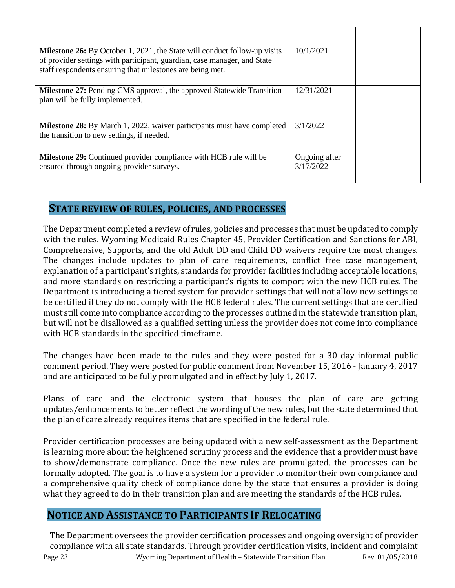| <b>Milestone 26:</b> By October 1, 2021, the State will conduct follow-up visits<br>of provider settings with participant, guardian, case manager, and State<br>staff respondents ensuring that milestones are being met. | 10/1/2021                  |  |
|---------------------------------------------------------------------------------------------------------------------------------------------------------------------------------------------------------------------------|----------------------------|--|
| <b>Milestone 27:</b> Pending CMS approval, the approved Statewide Transition<br>plan will be fully implemented.                                                                                                           | 12/31/2021                 |  |
| <b>Milestone 28:</b> By March 1, 2022, waiver participants must have completed<br>the transition to new settings, if needed.                                                                                              | 3/1/2022                   |  |
| <b>Milestone 29:</b> Continued provider compliance with HCB rule will be<br>ensured through ongoing provider surveys.                                                                                                     | Ongoing after<br>3/17/2022 |  |

### **STATE REVIEW OF RULES, POLICIES, AND PROCESSES**

The Department completed a review of rules, policies and processes that must be updated to comply with the rules. Wyoming Medicaid Rules Chapter 45, Provider Certification and Sanctions for ABI, Comprehensive, Supports, and the old Adult DD and Child DD waivers require the most changes. The changes include updates to plan of care requirements, conflict free case management, explanation of a participant's rights, standards for provider facilities including acceptable locations, and more standards on restricting a participant's rights to comport with the new HCB rules. The Department is introducing a tiered system for provider settings that will not allow new settings to be certified if they do not comply with the HCB federal rules. The current settings that are certified must still come into compliance according to the processes outlined in the statewide transition plan, but will not be disallowed as a qualified setting unless the provider does not come into compliance with HCB standards in the specified timeframe.

The changes have been made to the rules and they were posted for a 30 day informal public comment period. They were posted for public comment from November 15, 2016 - January 4, 2017 and are anticipated to be fully promulgated and in effect by July 1, 2017.

Plans of care and the electronic system that houses the plan of care are getting updates/enhancements to better reflect the wording of the new rules, but the state determined that the plan of care already requires items that are specified in the federal rule.

Provider certification processes are being updated with a new self-assessment as the Department is learning more about the heightened scrutiny process and the evidence that a provider must have to show/demonstrate compliance. Once the new rules are promulgated, the processes can be formally adopted. The goal is to have a system for a provider to monitor their own compliance and a comprehensive quality check of compliance done by the state that ensures a provider is doing what they agreed to do in their transition plan and are meeting the standards of the HCB rules.

### **NOTICE AND ASSISTANCE TO PARTICIPANTS IF RELOCATING**

Page 23 Wyoming Department of Health – Statewide Transition Plan Rev. 01/05/2018 The Department oversees the provider certification processes and ongoing oversight of provider compliance with all state standards. Through provider certification visits, incident and complaint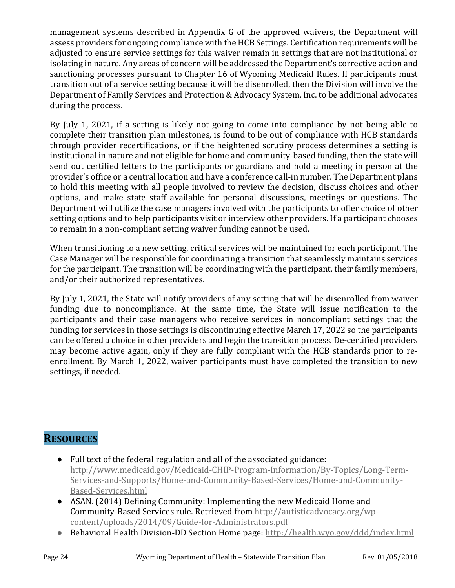management systems described in Appendix G of the approved waivers, the Department will assess providers for ongoing compliance with the HCB Settings. Certification requirements will be adjusted to ensure service settings for this waiver remain in settings that are not institutional or isolating in nature. Any areas of concern will be addressed the Department's corrective action and sanctioning processes pursuant to Chapter 16 of Wyoming Medicaid Rules. If participants must transition out of a service setting because it will be disenrolled, then the Division will involve the Department of Family Services and Protection & Advocacy System, Inc. to be additional advocates during the process.

By July 1, 2021, if a setting is likely not going to come into compliance by not being able to complete their transition plan milestones, is found to be out of compliance with HCB standards through provider recertifications, or if the heightened scrutiny process determines a setting is institutional in nature and not eligible for home and community-based funding, then the state will send out certified letters to the participants or guardians and hold a meeting in person at the provider's office or a central location and have a conference call-in number. The Department plans to hold this meeting with all people involved to review the decision, discuss choices and other options, and make state staff available for personal discussions, meetings or questions. The Department will utilize the case managers involved with the participants to offer choice of other setting options and to help participants visit or interview other providers. If a participant chooses to remain in a non-compliant setting waiver funding cannot be used.

When transitioning to a new setting, critical services will be maintained for each participant. The Case Manager will be responsible for coordinating a transition that seamlessly maintains services for the participant. The transition will be coordinating with the participant, their family members, and/or their authorized representatives.

By July 1, 2021, the State will notify providers of any setting that will be disenrolled from waiver funding due to noncompliance. At the same time, the State will issue notification to the participants and their case managers who receive services in noncompliant settings that the funding for services in those settings is discontinuing effective March 17, 2022 so the participants can be offered a choice in other providers and begin the transition process. De-certified providers may become active again, only if they are fully compliant with the HCB standards prior to reenrollment. By March 1, 2022, waiver participants must have completed the transition to new settings, if needed.

## **RESOURCES**

- Full text of the federal regulation and all of the associated guidance: [http://www.medicaid.gov/Medicaid-CHIP-Program-Information/By-Topics/Long-Term-](http://www.medicaid.gov/Medicaid-CHIP-Program-Information/By-Topics/Long-Term-Services-and-Supports/Home-and-Community-Based-Services/Home-and-Community-Based-Services.html)[Services-and-Supports/Home-and-Community-Based-Services/Home-and-Community-](http://www.medicaid.gov/Medicaid-CHIP-Program-Information/By-Topics/Long-Term-Services-and-Supports/Home-and-Community-Based-Services/Home-and-Community-Based-Services.html)[Based-Services.html](http://www.medicaid.gov/Medicaid-CHIP-Program-Information/By-Topics/Long-Term-Services-and-Supports/Home-and-Community-Based-Services/Home-and-Community-Based-Services.html)
- ASAN. (2014) Defining Community: Implementing the new Medicaid Home and Community-Based Services rule. Retrieved from [http://autisticadvocacy.org/wp](http://autisticadvocacy.org/wp-content/uploads/2014/09/Guide-for-Administrators.pdf)[content/uploads/2014/09/Guide-for-Administrators.pdf](http://autisticadvocacy.org/wp-content/uploads/2014/09/Guide-for-Administrators.pdf)
- Behavioral Health Division-DD Section Home page:<http://health.wyo.gov/ddd/index.html>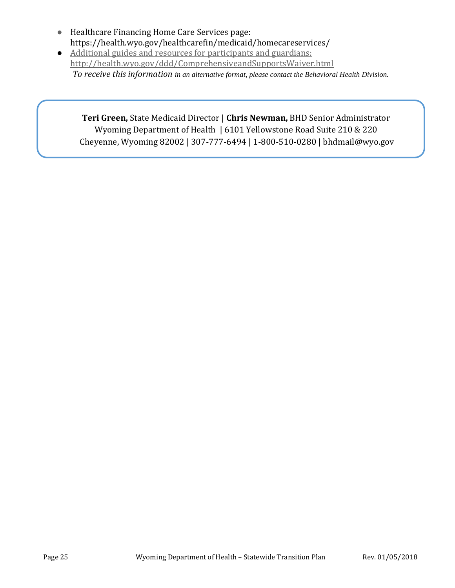- Healthcare Financing Home Care Services page: https://health.wyo.gov/healthcarefin/medicaid/homecareservices/
- Additional guides and resources for participants and guardians: <http://health.wyo.gov/ddd/ComprehensiveandSupportsWaiver.html> *To receive this information in an alternative format, please contact the Behavioral Health Division.*

#### **Teri Green,** State Medicaid Director | **Chris Newman,** BHD Senior Administrator Wyoming Department of Health | 6101 Yellowstone Road Suite 210 & 220 Cheyenne, Wyoming 82002 | 307-777-6494 | 1-800-510-0280 | bhdmail@wyo.gov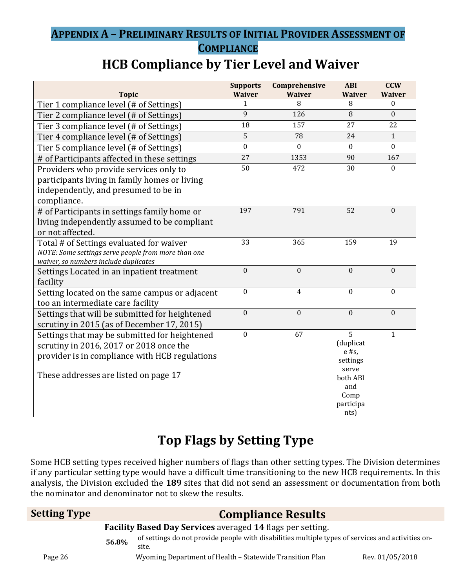## **APPENDIX A – PRELIMINARY RESULTS OF INITIAL PROVIDER ASSESSMENT OF COMPLIANCE**

## **HCB Compliance by Tier Level and Waiver**

| <b>Topic</b>                                                                             | <b>Supports</b><br><b>Waiver</b> | Comprehensive<br><b>Waiver</b> | <b>ABI</b><br><b>Waiver</b> | <b>CCW</b><br><b>Waiver</b> |
|------------------------------------------------------------------------------------------|----------------------------------|--------------------------------|-----------------------------|-----------------------------|
| Tier 1 compliance level (# of Settings)                                                  | 1                                | 8                              | 8                           | $\Omega$                    |
| Tier 2 compliance level (# of Settings)                                                  | 9                                | 126                            | 8                           | $\mathbf{0}$                |
| Tier 3 compliance level (# of Settings)                                                  | 18                               | 157                            | 27                          | 22                          |
| Tier 4 compliance level (# of Settings)                                                  | 5                                | 78                             | 24                          | $\mathbf{1}$                |
| Tier 5 compliance level (# of Settings)                                                  | $\boldsymbol{0}$                 | $\mathbf{0}$                   | $\mathbf{0}$                | $\overline{0}$              |
| # of Participants affected in these settings                                             | 27                               | 1353                           | 90                          | 167                         |
| Providers who provide services only to                                                   | 50                               | 472                            | 30                          | $\mathbf{0}$                |
| participants living in family homes or living                                            |                                  |                                |                             |                             |
| independently, and presumed to be in                                                     |                                  |                                |                             |                             |
| compliance.                                                                              |                                  |                                |                             |                             |
| # of Participants in settings family home or                                             | 197                              | 791                            | 52                          | $\mathbf{0}$                |
| living independently assumed to be compliant                                             |                                  |                                |                             |                             |
| or not affected.                                                                         |                                  |                                |                             |                             |
| Total # of Settings evaluated for waiver                                                 | 33                               | 365                            | 159                         | 19                          |
| NOTE: Some settings serve people from more than one                                      |                                  |                                |                             |                             |
| waiver, so numbers include duplicates                                                    | $\boldsymbol{0}$                 | $\mathbf{0}$                   | $\boldsymbol{0}$            | $\boldsymbol{0}$            |
| Settings Located in an inpatient treatment                                               |                                  |                                |                             |                             |
| facility                                                                                 | $\boldsymbol{0}$                 | $\overline{4}$                 | $\mathbf{0}$                | $\mathbf{0}$                |
| Setting located on the same campus or adjacent                                           |                                  |                                |                             |                             |
| too an intermediate care facility                                                        | $\boldsymbol{0}$                 | $\mathbf{0}$                   | $\mathbf{0}$                | $\mathbf{0}$                |
| Settings that will be submitted for heightened                                           |                                  |                                |                             |                             |
| scrutiny in 2015 (as of December 17, 2015)                                               | $\boldsymbol{0}$                 | 67                             | 5                           | $\mathbf{1}$                |
| Settings that may be submitted for heightened<br>scrutiny in 2016, 2017 or 2018 once the |                                  |                                | (duplicat                   |                             |
|                                                                                          |                                  |                                | $e$ #s,                     |                             |
| provider is in compliance with HCB regulations                                           |                                  |                                | settings                    |                             |
| These addresses are listed on page 17                                                    |                                  |                                | serve                       |                             |
|                                                                                          |                                  |                                | both ABI<br>and             |                             |
|                                                                                          |                                  |                                | Comp                        |                             |
|                                                                                          |                                  |                                | participa                   |                             |
|                                                                                          |                                  |                                | nts                         |                             |

# **Top Flags by Setting Type**

Some HCB setting types received higher numbers of flags than other setting types. The Division determines if any particular setting type would have a difficult time transitioning to the new HCB requirements. In this analysis, the Division excluded the **189** sites that did not send an assessment or documentation from both the nominator and denominator not to skew the results.

| <b>Setting Type</b> | <b>Compliance Results</b> |                                                                                                            |                 |
|---------------------|---------------------------|------------------------------------------------------------------------------------------------------------|-----------------|
|                     |                           | Facility Based Day Services averaged 14 flags per setting.                                                 |                 |
|                     | 56.8%                     | of settings do not provide people with disabilities multiple types of services and activities on-<br>site. |                 |
| Page 26             |                           | Wyoming Department of Health - Statewide Transition Plan                                                   | Rev. 01/05/2018 |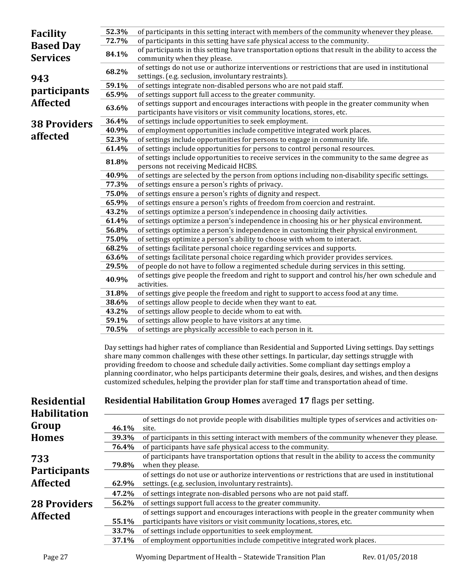| <b>Facility</b>                           | 52.3%          | of participants in this setting interact with members of the community whenever they please.                                                                                                                                                                                                                                                                                                                                  |
|-------------------------------------------|----------------|-------------------------------------------------------------------------------------------------------------------------------------------------------------------------------------------------------------------------------------------------------------------------------------------------------------------------------------------------------------------------------------------------------------------------------|
| <b>Based Day</b>                          | 72.7%          | of participants in this setting have safe physical access to the community.                                                                                                                                                                                                                                                                                                                                                   |
| <b>Services</b>                           | 84.1%          | of participants in this setting have transportation options that result in the ability to access the<br>community when they please.                                                                                                                                                                                                                                                                                           |
|                                           | 68.2%          | of settings do not use or authorize interventions or restrictions that are used in institutional<br>settings. (e.g. seclusion, involuntary restraints).                                                                                                                                                                                                                                                                       |
| 943                                       | 59.1%          | of settings integrate non-disabled persons who are not paid staff.                                                                                                                                                                                                                                                                                                                                                            |
| <i>participants</i>                       | 65.9%          | of settings support full access to the greater community.                                                                                                                                                                                                                                                                                                                                                                     |
| <b>Affected</b>                           | 63.6%          | of settings support and encourages interactions with people in the greater community when<br>participants have visitors or visit community locations, stores, etc.                                                                                                                                                                                                                                                            |
|                                           | 36.4%          | of settings include opportunities to seek employment.                                                                                                                                                                                                                                                                                                                                                                         |
| <b>38 Providers</b>                       | 40.9%          | of employment opportunities include competitive integrated work places.                                                                                                                                                                                                                                                                                                                                                       |
| affected                                  | 52.3%          | of settings include opportunities for persons to engage in community life.                                                                                                                                                                                                                                                                                                                                                    |
|                                           | 61.4%          | of settings include opportunities for persons to control personal resources.                                                                                                                                                                                                                                                                                                                                                  |
|                                           | 81.8%          | of settings include opportunities to receive services in the community to the same degree as<br>persons not receiving Medicaid HCBS.                                                                                                                                                                                                                                                                                          |
|                                           | 40.9%          | of settings are selected by the person from options including non-disability specific settings.                                                                                                                                                                                                                                                                                                                               |
|                                           | 77.3%          | of settings ensure a person's rights of privacy.                                                                                                                                                                                                                                                                                                                                                                              |
|                                           | 75.0%          | of settings ensure a person's rights of dignity and respect.                                                                                                                                                                                                                                                                                                                                                                  |
|                                           | 65.9%          | of settings ensure a person's rights of freedom from coercion and restraint.                                                                                                                                                                                                                                                                                                                                                  |
|                                           | 43.2%          | of settings optimize a person's independence in choosing daily activities.                                                                                                                                                                                                                                                                                                                                                    |
|                                           | 61.4%          | of settings optimize a person's independence in choosing his or her physical environment.                                                                                                                                                                                                                                                                                                                                     |
|                                           | 56.8%          | of settings optimize a person's independence in customizing their physical environment.                                                                                                                                                                                                                                                                                                                                       |
|                                           | 75.0%          | of settings optimize a person's ability to choose with whom to interact.                                                                                                                                                                                                                                                                                                                                                      |
|                                           | 68.2%          | of settings facilitate personal choice regarding services and supports.                                                                                                                                                                                                                                                                                                                                                       |
|                                           | 63.6%          | of settings facilitate personal choice regarding which provider provides services.<br>of people do not have to follow a regimented schedule during services in this setting.                                                                                                                                                                                                                                                  |
|                                           | 29.5%          | of settings give people the freedom and right to support and control his/her own schedule and                                                                                                                                                                                                                                                                                                                                 |
|                                           | 40.9%          | activities.                                                                                                                                                                                                                                                                                                                                                                                                                   |
|                                           | 31.8%          | of settings give people the freedom and right to support to access food at any time.                                                                                                                                                                                                                                                                                                                                          |
|                                           | 38.6%          | of settings allow people to decide when they want to eat.<br>of settings allow people to decide whom to eat with.                                                                                                                                                                                                                                                                                                             |
|                                           | 43.2%<br>59.1% | of settings allow people to have visitors at any time.                                                                                                                                                                                                                                                                                                                                                                        |
|                                           | 70.5%          | of settings are physically accessible to each person in it.                                                                                                                                                                                                                                                                                                                                                                   |
|                                           |                |                                                                                                                                                                                                                                                                                                                                                                                                                               |
|                                           |                | Day settings had higher rates of compliance than Residential and Supported Living settings. Day settings<br>share many common challenges with these other settings. In particular, day settings struggle with<br>providing freedom to choose and schedule daily activities. Some compliant day settings employ a<br>planning coordinator, who helps participants determine their goals, desires, and wishes, and then designs |
|                                           |                | customized schedules, helping the provider plan for staff time and transportation ahead of time.                                                                                                                                                                                                                                                                                                                              |
|                                           |                |                                                                                                                                                                                                                                                                                                                                                                                                                               |
| <b>Residential</b><br><b>Habilitation</b> |                | <b>Residential Habilitation Group Homes</b> averaged 17 flags per setting.                                                                                                                                                                                                                                                                                                                                                    |
| Group                                     |                | of settings do not provide people with disabilities multiple types of services and activities on-                                                                                                                                                                                                                                                                                                                             |
|                                           | 46.1%          | site.                                                                                                                                                                                                                                                                                                                                                                                                                         |
| <b>Homes</b>                              | 39.3%          | of participants in this setting interact with members of the community whenever they please.                                                                                                                                                                                                                                                                                                                                  |
|                                           | 76.4%          | of participants have safe physical access to the community.<br>of participants have transportation options that result in the ability to access the community                                                                                                                                                                                                                                                                 |
| 733                                       | 79.8%          | when they please.                                                                                                                                                                                                                                                                                                                                                                                                             |
| <b>Participants</b>                       |                | of settings do not use or authorize interventions or restrictions that are used in institutional                                                                                                                                                                                                                                                                                                                              |
| <b>Affected</b>                           | 62.9%          | settings. (e.g. seclusion, involuntary restraints).                                                                                                                                                                                                                                                                                                                                                                           |
|                                           | 47.2%          | of settings integrate non-disabled persons who are not paid staff.                                                                                                                                                                                                                                                                                                                                                            |
| <b>28 Providers</b>                       | 56.2%          | of settings support full access to the greater community.                                                                                                                                                                                                                                                                                                                                                                     |
| <b>Affected</b>                           | 55.1%          | of settings support and encourages interactions with people in the greater community when<br>participants have visitors or visit community locations, stores, etc.                                                                                                                                                                                                                                                            |
|                                           | 33.7%          | of settings include opportunities to seek employment.                                                                                                                                                                                                                                                                                                                                                                         |
|                                           | 37.1%          | of employment opportunities include competitive integrated work places.                                                                                                                                                                                                                                                                                                                                                       |
|                                           |                |                                                                                                                                                                                                                                                                                                                                                                                                                               |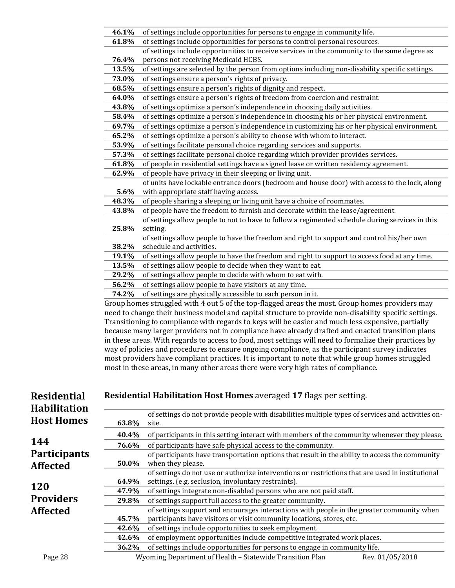| 46.1% | of settings include opportunities for persons to engage in community life.                           |
|-------|------------------------------------------------------------------------------------------------------|
| 61.8% | of settings include opportunities for persons to control personal resources.                         |
|       | of settings include opportunities to receive services in the community to the same degree as         |
| 76.4% | persons not receiving Medicaid HCBS.                                                                 |
| 13.5% | of settings are selected by the person from options including non-disability specific settings.      |
| 73.0% | of settings ensure a person's rights of privacy.                                                     |
| 68.5% | of settings ensure a person's rights of dignity and respect.                                         |
| 64.0% | of settings ensure a person's rights of freedom from coercion and restraint.                         |
| 43.8% | of settings optimize a person's independence in choosing daily activities.                           |
| 58.4% | of settings optimize a person's independence in choosing his or her physical environment.            |
| 69.7% | of settings optimize a person's independence in customizing his or her physical environment.         |
| 65.2% | of settings optimize a person's ability to choose with whom to interact.                             |
| 53.9% | of settings facilitate personal choice regarding services and supports.                              |
| 57.3% | of settings facilitate personal choice regarding which provider provides services.                   |
| 61.8% | of people in residential settings have a signed lease or written residency agreement.                |
| 62.9% | of people have privacy in their sleeping or living unit.                                             |
|       | of units have lockable entrance doors (bedroom and house door) with access to the lock, along        |
| 5.6%  | with appropriate staff having access.                                                                |
| 48.3% | of people sharing a sleeping or living unit have a choice of roommates.                              |
| 43.8% | of people have the freedom to furnish and decorate within the lease/agreement.                       |
|       | of settings allow people to not to have to follow a regimented schedule during services in this      |
| 25.8% | setting.                                                                                             |
|       | of settings allow people to have the freedom and right to support and control his/her own            |
| 38.2% | schedule and activities.                                                                             |
| 19.1% | of settings allow people to have the freedom and right to support to access food at any time.        |
| 13.5% | of settings allow people to decide when they want to eat.                                            |
| 29.2% | of settings allow people to decide with whom to eat with.                                            |
| 56.2% | of settings allow people to have visitors at any time.                                               |
| 74.2% | of settings are physically accessible to each person in it.                                          |
|       | Group homes struggled with 4 out 5 of the top-flagged areas the most. Group homes providers may      |
|       | aad to ghanga thain buginees madal and senital structure to nyarida non-disability specific settings |

need to change their business model and capital structure to provide non-disability specific settings. Transitioning to compliance with regards to keys will be easier and much less expensive, partially because many larger providers not in compliance have already drafted and enacted transition plans in these areas. With regards to access to food, most settings will need to formalize their practices by way of policies and procedures to ensure ongoing compliance, as the participant survey indicates most providers have compliant practices. It is important to note that while group homes struggled most in these areas, in many other areas there were very high rates of compliance.

| <b>Residential</b><br><b>Habilitation</b> |       | Residential Habilitation Host Homes averaged 17 flags per setting.                                         |
|-------------------------------------------|-------|------------------------------------------------------------------------------------------------------------|
| <b>Host Homes</b>                         | 63.8% | of settings do not provide people with disabilities multiple types of services and activities on-<br>site. |
|                                           | 40.4% | of participants in this setting interact with members of the community whenever they please.               |
| 144                                       | 76.6% | of participants have safe physical access to the community.                                                |
| <b>Participants</b>                       |       | of participants have transportation options that result in the ability to access the community             |
| <b>Affected</b>                           | 50.0% | when they please.                                                                                          |
|                                           |       | of settings do not use or authorize interventions or restrictions that are used in institutional           |
|                                           | 64.9% | settings. (e.g. seclusion, involuntary restraints).                                                        |
| <b>120</b>                                | 47.9% | of settings integrate non-disabled persons who are not paid staff.                                         |
| <b>Providers</b>                          | 29.8% | of settings support full access to the greater community.                                                  |
| <b>Affected</b>                           |       | of settings support and encourages interactions with people in the greater community when                  |
|                                           | 45.7% | participants have visitors or visit community locations, stores, etc.                                      |
|                                           | 42.6% | of settings include opportunities to seek employment.                                                      |
|                                           | 42.6% | of employment opportunities include competitive integrated work places.                                    |
|                                           | 36.2% | of settings include opportunities for persons to engage in community life.                                 |
| Page 28                                   |       | Wyoming Department of Health - Statewide Transition Plan<br>Rev. 01/05/2018                                |

L.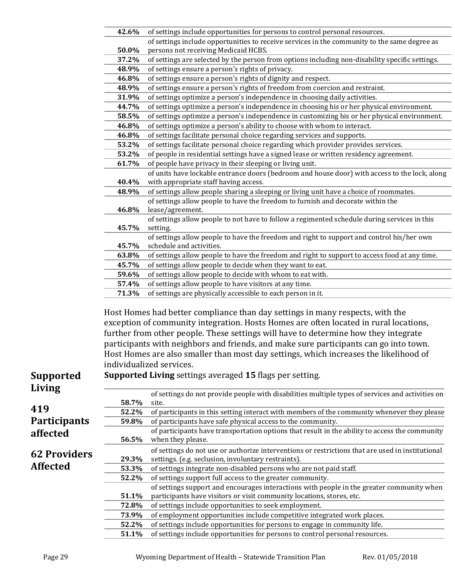|                     | 42.6% | of settings include opportunities for persons to control personal resources.                                                                                       |
|---------------------|-------|--------------------------------------------------------------------------------------------------------------------------------------------------------------------|
|                     |       | of settings include opportunities to receive services in the community to the same degree as                                                                       |
|                     | 50.0% | persons not receiving Medicaid HCBS.                                                                                                                               |
|                     | 37.2% | of settings are selected by the person from options including non-disability specific settings.                                                                    |
|                     | 48.9% | of settings ensure a person's rights of privacy.                                                                                                                   |
|                     | 46.8% | of settings ensure a person's rights of dignity and respect.                                                                                                       |
|                     | 48.9% | of settings ensure a person's rights of freedom from coercion and restraint.                                                                                       |
|                     | 31.9% | of settings optimize a person's independence in choosing daily activities.                                                                                         |
|                     | 44.7% | of settings optimize a person's independence in choosing his or her physical environment.                                                                          |
|                     | 58.5% | of settings optimize a person's independence in customizing his or her physical environment.                                                                       |
|                     | 46.8% | of settings optimize a person's ability to choose with whom to interact.                                                                                           |
|                     | 46.8% | of settings facilitate personal choice regarding services and supports.                                                                                            |
|                     | 53.2% | of settings facilitate personal choice regarding which provider provides services.                                                                                 |
|                     | 53.2% | of people in residential settings have a signed lease or written residency agreement.                                                                              |
|                     | 61.7% | of people have privacy in their sleeping or living unit.                                                                                                           |
|                     |       | of units have lockable entrance doors (bedroom and house door) with access to the lock, along                                                                      |
|                     | 40.4% | with appropriate staff having access.                                                                                                                              |
|                     | 48.9% | of settings allow people sharing a sleeping or living unit have a choice of roommates.                                                                             |
|                     |       | of settings allow people to have the freedom to furnish and decorate within the                                                                                    |
|                     | 46.8% | lease/agreement.                                                                                                                                                   |
|                     |       | of settings allow people to not have to follow a regimented schedule during services in this                                                                       |
|                     | 45.7% | setting.                                                                                                                                                           |
|                     |       | of settings allow people to have the freedom and right to support and control his/her own                                                                          |
|                     | 45.7% | schedule and activities.                                                                                                                                           |
|                     | 63.8% | of settings allow people to have the freedom and right to support to access food at any time.                                                                      |
|                     | 45.7% | of settings allow people to decide when they want to eat.                                                                                                          |
|                     | 59.6% | of settings allow people to decide with whom to eat with.                                                                                                          |
|                     | 57.4% | of settings allow people to have visitors at any time.                                                                                                             |
|                     | 71.3% | of settings are physically accessible to each person in it.                                                                                                        |
|                     |       |                                                                                                                                                                    |
|                     |       | Host Homes had better compliance than day settings in many respects, with the                                                                                      |
|                     |       |                                                                                                                                                                    |
|                     |       | exception of community integration. Hosts Homes are often located in rural locations,                                                                              |
|                     |       | further from other people. These settings will have to determine how they integrate                                                                                |
|                     |       | participants with neighbors and friends, and make sure participants can go into town.                                                                              |
|                     |       | Host Homes are also smaller than most day settings, which increases the likelihood of                                                                              |
|                     |       | individualized services.                                                                                                                                           |
| <b>Supported</b>    |       | <b>Supported Living</b> settings averaged 15 flags per setting.                                                                                                    |
|                     |       |                                                                                                                                                                    |
| Living              |       | of settings do not provide people with disabilities multiple types of services and activities on-                                                                  |
|                     | 58.7% | site.                                                                                                                                                              |
| 419                 | 52.2% | of participants in this setting interact with members of the community whenever they please                                                                        |
| <b>Participants</b> | 59.8% | of participants have safe physical access to the community.                                                                                                        |
|                     |       | of participants have transportation options that result in the ability to access the community                                                                     |
| affected            | 56.5% | when they please.                                                                                                                                                  |
|                     |       | of settings do not use or authorize interventions or restrictions that are used in institutional                                                                   |
| <b>62 Providers</b> | 29.3% | settings. (e.g. seclusion, involuntary restraints).                                                                                                                |
| <b>Affected</b>     | 53.3% | of settings integrate non-disabled persons who are not paid staff.                                                                                                 |
|                     | 52.2% | of settings support full access to the greater community.                                                                                                          |
|                     |       |                                                                                                                                                                    |
|                     | 51.1% | of settings support and encourages interactions with people in the greater community when<br>participants have visitors or visit community locations, stores, etc. |
|                     | 72.8% |                                                                                                                                                                    |
|                     |       | of settings include opportunities to seek employment.                                                                                                              |
|                     | 73.9% | of employment opportunities include competitive integrated work places.                                                                                            |
|                     | 52.2% | of settings include opportunities for persons to engage in community life.                                                                                         |
|                     | 51.1% | of settings include opportunities for persons to control personal resources.                                                                                       |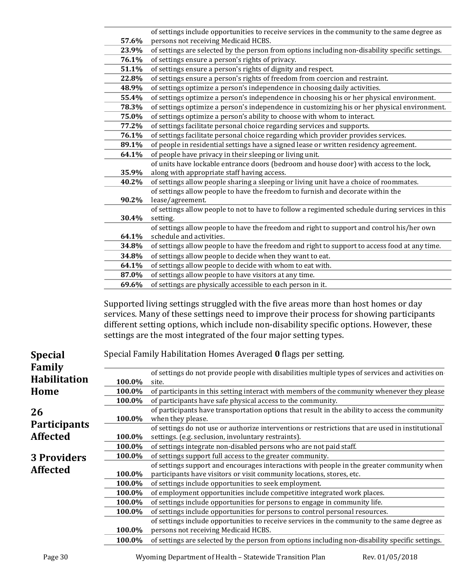|                          | 57.6%            | of settings include opportunities to receive services in the community to the same degree as<br>persons not receiving Medicaid HCBS. |
|--------------------------|------------------|--------------------------------------------------------------------------------------------------------------------------------------|
|                          | 23.9%            | of settings are selected by the person from options including non-disability specific settings.                                      |
|                          | 76.1%            | of settings ensure a person's rights of privacy.                                                                                     |
|                          | 51.1%            | of settings ensure a person's rights of dignity and respect.                                                                         |
|                          | 22.8%            | of settings ensure a person's rights of freedom from coercion and restraint.                                                         |
|                          | 48.9%            | of settings optimize a person's independence in choosing daily activities.                                                           |
|                          | 55.4%            | of settings optimize a person's independence in choosing his or her physical environment.                                            |
|                          | 78.3%            | of settings optimize a person's independence in customizing his or her physical environment.                                         |
|                          | 75.0%            | of settings optimize a person's ability to choose with whom to interact.                                                             |
|                          | 77.2%            | of settings facilitate personal choice regarding services and supports.                                                              |
|                          | 76.1%            | of settings facilitate personal choice regarding which provider provides services.                                                   |
|                          | 89.1%            | of people in residential settings have a signed lease or written residency agreement.                                                |
|                          | 64.1%            | of people have privacy in their sleeping or living unit.                                                                             |
|                          |                  | of units have lockable entrance doors (bedroom and house door) with access to the lock,                                              |
|                          | 35.9%            | along with appropriate staff having access.                                                                                          |
|                          | 40.2%            | of settings allow people sharing a sleeping or living unit have a choice of roommates.                                               |
|                          |                  | of settings allow people to have the freedom to furnish and decorate within the                                                      |
|                          | 90.2%            | lease/agreement.                                                                                                                     |
|                          |                  | of settings allow people to not to have to follow a regimented schedule during services in this                                      |
|                          | 30.4%            | setting.                                                                                                                             |
|                          |                  | of settings allow people to have the freedom and right to support and control his/her own                                            |
|                          | 64.1%            | schedule and activities.                                                                                                             |
|                          | 34.8%            | of settings allow people to have the freedom and right to support to access food at any time.                                        |
|                          | 34.8%            | of settings allow people to decide when they want to eat.                                                                            |
|                          | 64.1%            | of settings allow people to decide with whom to eat with.                                                                            |
|                          | 87.0%            | of settings allow people to have visitors at any time.                                                                               |
|                          | 69.6%            | of settings are physically accessible to each person in it.                                                                          |
|                          |                  | Supported living settings struggled with the five areas more than host homes or day                                                  |
|                          |                  | services. Many of these settings need to improve their process for showing participants                                              |
|                          |                  | different setting options, which include non-disability specific options. However, these                                             |
|                          |                  | settings are the most integrated of the four major setting types.                                                                    |
| <b>Special</b><br>Family |                  | Special Family Habilitation Homes Averaged 0 flags per setting.                                                                      |
|                          |                  | of settings do not provide people with disabilities multiple types of services and activities on                                     |
| <b>Habilitation</b>      | 100.0%           | site.                                                                                                                                |
| Home                     | 100.0%           | of participants in this setting interact with members of the community whenever they please                                          |
|                          | 100.0%           | of participants have safe physical access to the community.                                                                          |
| 26                       |                  | of participants have transportation options that result in the ability to access the community                                       |
| <b>Participants</b>      | 100.0%           | when they please.                                                                                                                    |
| <b>Affected</b>          |                  | of settings do not use or authorize interventions or restrictions that are used in institutional                                     |
|                          | 100.0%<br>100.0% | settings. (e.g. seclusion, involuntary restraints).<br>of settings integrate non-disabled persons who are not paid staff.            |
|                          | 100.0%           | of settings support full access to the greater community.                                                                            |
| 3 Providers              |                  | of settings support and encourages interactions with people in the greater community when                                            |
| Affactad                 |                  |                                                                                                                                      |

**100.0%**

**100.0%**

100.0% of settings include opportunities to seek employment.<br>100.0% of employment opportunities include competitive inte

persons not receiving Medicaid HCBS.

participants have visitors or visit community locations, stores, etc.

**100.0%** of settings include opportunities for persons to control personal resources.

**100.0%** of settings are selected by the person from options including non-disability specific settings.

of settings include opportunities to receive services in the community to the same degree as

**100.0%** of employment opportunities include competitive integrated work places.<br>**100.0%** of settings include opportunities for persons to engage in community life. **100.0%** of settings include opportunities for persons to engage in community life.<br>**100.0%** of settings include opportunities for persons to control personal resources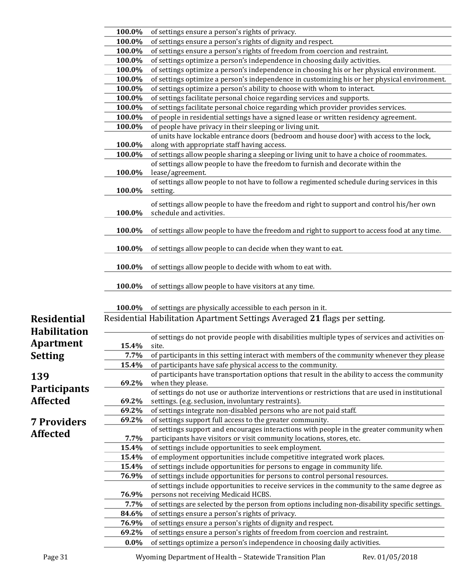|                     | 100.0%           | of settings ensure a person's rights of privacy.                                                                                                           |
|---------------------|------------------|------------------------------------------------------------------------------------------------------------------------------------------------------------|
|                     | 100.0%           | of settings ensure a person's rights of dignity and respect.                                                                                               |
|                     | 100.0%           | of settings ensure a person's rights of freedom from coercion and restraint.                                                                               |
|                     | 100.0%           | of settings optimize a person's independence in choosing daily activities.                                                                                 |
|                     | 100.0%           | of settings optimize a person's independence in choosing his or her physical environment.                                                                  |
|                     | 100.0%           | of settings optimize a person's independence in customizing his or her physical environment.                                                               |
|                     | 100.0%           | of settings optimize a person's ability to choose with whom to interact.                                                                                   |
|                     | 100.0%           | of settings facilitate personal choice regarding services and supports.                                                                                    |
|                     | 100.0%           | of settings facilitate personal choice regarding which provider provides services.                                                                         |
|                     | 100.0%           | of people in residential settings have a signed lease or written residency agreement.                                                                      |
|                     | 100.0%           | of people have privacy in their sleeping or living unit.                                                                                                   |
|                     |                  | of units have lockable entrance doors (bedroom and house door) with access to the lock,                                                                    |
|                     | 100.0%           | along with appropriate staff having access.                                                                                                                |
|                     | 100.0%           | of settings allow people sharing a sleeping or living unit to have a choice of roommates.                                                                  |
|                     |                  | of settings allow people to have the freedom to furnish and decorate within the                                                                            |
|                     | 100.0%           | lease/agreement.                                                                                                                                           |
|                     |                  | of settings allow people to not have to follow a regimented schedule during services in this                                                               |
|                     | 100.0%           | setting.                                                                                                                                                   |
|                     |                  |                                                                                                                                                            |
|                     |                  | of settings allow people to have the freedom and right to support and control his/her own                                                                  |
|                     | 100.0%           | schedule and activities.                                                                                                                                   |
|                     | 100.0%           | of settings allow people to have the freedom and right to support to access food at any time.                                                              |
|                     | 100.0%           | of settings allow people to can decide when they want to eat.                                                                                              |
|                     | 100.0%           | of settings allow people to decide with whom to eat with.                                                                                                  |
|                     |                  |                                                                                                                                                            |
|                     | 100.0%           | of settings allow people to have visitors at any time.                                                                                                     |
|                     | 100.0%           | of settings are physically accessible to each person in it.                                                                                                |
| <b>Residential</b>  |                  | Residential Habilitation Apartment Settings Averaged 21 flags per setting.                                                                                 |
|                     |                  |                                                                                                                                                            |
| <b>Habilitation</b> |                  | of settings do not provide people with disabilities multiple types of services and activities on-                                                          |
| <b>Apartment</b>    | 15.4%            | site.                                                                                                                                                      |
| <b>Setting</b>      | 7.7%             | of participants in this setting interact with members of the community whenever they please                                                                |
|                     | 15.4%            | of participants have safe physical access to the community.                                                                                                |
|                     |                  | of participants have transportation options that result in the ability to access the community                                                             |
| 139                 | 69.2%            | when they please.                                                                                                                                          |
| <b>Participants</b> |                  | of settings do not use or authorize interventions or restrictions that are used in institutional                                                           |
| <b>Affected</b>     | 69.2%            | settings. (e.g. seclusion, involuntary restraints).                                                                                                        |
|                     | 69.2%            | of settings integrate non-disabled persons who are not paid staff.                                                                                         |
| <b>7 Providers</b>  | 69.2%            | of settings support full access to the greater community.                                                                                                  |
|                     |                  | of settings support and encourages interactions with people in the greater community when                                                                  |
| <b>Affected</b>     | 7.7%             | participants have visitors or visit community locations, stores, etc.                                                                                      |
|                     | 15.4%            | of settings include opportunities to seek employment.                                                                                                      |
|                     | 15.4%            | of employment opportunities include competitive integrated work places.                                                                                    |
|                     | 15.4%            | of settings include opportunities for persons to engage in community life.                                                                                 |
|                     | 76.9%            | of settings include opportunities for persons to control personal resources.                                                                               |
|                     |                  |                                                                                                                                                            |
|                     |                  | of settings include opportunities to receive services in the community to the same degree as                                                               |
|                     | 76.9%            | persons not receiving Medicaid HCBS.                                                                                                                       |
|                     | 7.7%             | of settings are selected by the person from options including non-disability specific settings.                                                            |
|                     | 84.6%            | of settings ensure a person's rights of privacy.                                                                                                           |
|                     | 76.9%            | of settings ensure a person's rights of dignity and respect.                                                                                               |
|                     |                  |                                                                                                                                                            |
|                     | 69.2%<br>$0.0\%$ | of settings ensure a person's rights of freedom from coercion and restraint.<br>of settings optimize a person's independence in choosing daily activities. |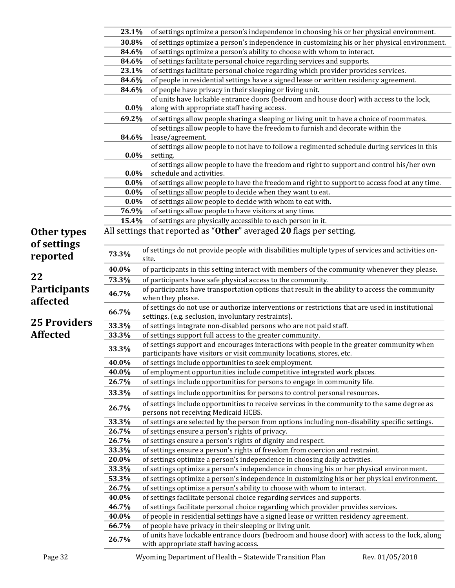|                            | 23.1%   | of settings optimize a person's independence in choosing his or her physical environment.                                                                          |
|----------------------------|---------|--------------------------------------------------------------------------------------------------------------------------------------------------------------------|
|                            | 30.8%   | of settings optimize a person's independence in customizing his or her physical environment.                                                                       |
|                            | 84.6%   | of settings optimize a person's ability to choose with whom to interact.                                                                                           |
|                            | 84.6%   | of settings facilitate personal choice regarding services and supports.                                                                                            |
|                            | 23.1%   | of settings facilitate personal choice regarding which provider provides services.                                                                                 |
|                            | 84.6%   | of people in residential settings have a signed lease or written residency agreement.                                                                              |
|                            | 84.6%   | of people have privacy in their sleeping or living unit.                                                                                                           |
|                            | $0.0\%$ | of units have lockable entrance doors (bedroom and house door) with access to the lock,<br>along with appropriate staff having access.                             |
|                            | 69.2%   | of settings allow people sharing a sleeping or living unit to have a choice of roommates.                                                                          |
|                            |         | of settings allow people to have the freedom to furnish and decorate within the                                                                                    |
|                            | 84.6%   | lease/agreement.                                                                                                                                                   |
|                            | $0.0\%$ | of settings allow people to not have to follow a regimented schedule during services in this<br>setting.                                                           |
|                            |         | of settings allow people to have the freedom and right to support and control his/her own                                                                          |
|                            | $0.0\%$ | schedule and activities.                                                                                                                                           |
|                            | $0.0\%$ | of settings allow people to have the freedom and right to support to access food at any time.                                                                      |
|                            | $0.0\%$ | of settings allow people to decide when they want to eat.                                                                                                          |
|                            | $0.0\%$ | of settings allow people to decide with whom to eat with.                                                                                                          |
|                            | 76.9%   | of settings allow people to have visitors at any time.                                                                                                             |
|                            | 15.4%   | of settings are physically accessible to each person in it.                                                                                                        |
| Other types<br>of settings |         | All settings that reported as "Other" averaged 20 flags per setting.                                                                                               |
| reported                   | 73.3%   | of settings do not provide people with disabilities multiple types of services and activities on-<br>site.                                                         |
|                            | 40.0%   | of participants in this setting interact with members of the community whenever they please.                                                                       |
| 22                         | 73.3%   | of participants have safe physical access to the community.                                                                                                        |
| <b>Participants</b>        |         | of participants have transportation options that result in the ability to access the community                                                                     |
| affected                   | 46.7%   | when they please.                                                                                                                                                  |
|                            | 66.7%   | of settings do not use or authorize interventions or restrictions that are used in institutional<br>settings. (e.g. seclusion, involuntary restraints).            |
| <b>25 Providers</b>        | 33.3%   | of settings integrate non-disabled persons who are not paid staff.                                                                                                 |
| <b>Affected</b>            | 33.3%   | of settings support full access to the greater community.                                                                                                          |
|                            | 33.3%   | of settings support and encourages interactions with people in the greater community when<br>participants have visitors or visit community locations, stores, etc. |
|                            | 40.0%   | of settings include opportunities to seek employment.                                                                                                              |
|                            | 40.0%   | of employment opportunities include competitive integrated work places.                                                                                            |
|                            | 26.7%   | of settings include opportunities for persons to engage in community life.                                                                                         |
|                            |         |                                                                                                                                                                    |
|                            | 33.3%   | of settings include opportunities for persons to control personal resources.                                                                                       |
|                            | 26.7%   | of settings include opportunities to receive services in the community to the same degree as<br>persons not receiving Medicaid HCBS.                               |
|                            | 33.3%   | of settings are selected by the person from options including non-disability specific settings.                                                                    |
|                            | 26.7%   | of settings ensure a person's rights of privacy.                                                                                                                   |
|                            | 26.7%   | of settings ensure a person's rights of dignity and respect.                                                                                                       |
|                            | 33.3%   | of settings ensure a person's rights of freedom from coercion and restraint.                                                                                       |
|                            | 20.0%   | of settings optimize a person's independence in choosing daily activities.                                                                                         |
|                            | 33.3%   | of settings optimize a person's independence in choosing his or her physical environment.                                                                          |
|                            | 53.3%   | of settings optimize a person's independence in customizing his or her physical environment.                                                                       |
|                            | 26.7%   | of settings optimize a person's ability to choose with whom to interact.                                                                                           |
|                            | 40.0%   | of settings facilitate personal choice regarding services and supports.                                                                                            |
|                            | 46.7%   | of settings facilitate personal choice regarding which provider provides services.                                                                                 |
|                            | 40.0%   | of people in residential settings have a signed lease or written residency agreement.                                                                              |
|                            | 66.7%   | of people have privacy in their sleeping or living unit.                                                                                                           |
|                            |         | of units have lockable entrance doors (bedroom and house door) with access to the lock, along                                                                      |
|                            | 26.7%   | with appropriate staff having access.                                                                                                                              |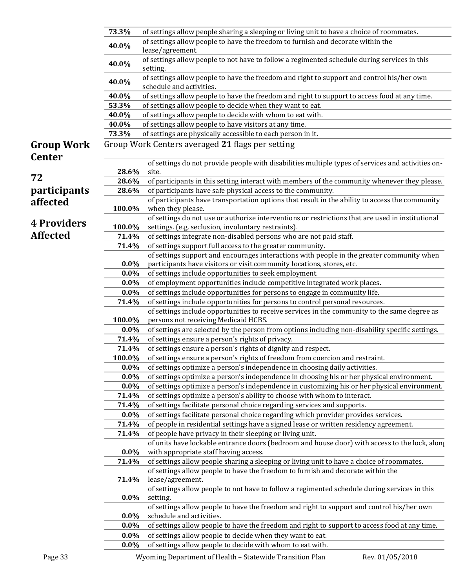|                     | 73.3%   | of settings allow people sharing a sleeping or living unit to have a choice of roommates.                             |
|---------------------|---------|-----------------------------------------------------------------------------------------------------------------------|
|                     |         | of settings allow people to have the freedom to furnish and decorate within the                                       |
|                     | 40.0%   | lease/agreement.                                                                                                      |
|                     | 40.0%   | of settings allow people to not have to follow a regimented schedule during services in this<br>setting.              |
|                     | 40.0%   | of settings allow people to have the freedom and right to support and control his/her own<br>schedule and activities. |
|                     | 40.0%   | of settings allow people to have the freedom and right to support to access food at any time.                         |
|                     | 53.3%   | of settings allow people to decide when they want to eat.                                                             |
|                     | 40.0%   | of settings allow people to decide with whom to eat with.                                                             |
|                     | 40.0%   | of settings allow people to have visitors at any time.                                                                |
|                     | 73.3%   | of settings are physically accessible to each person in it.                                                           |
| <b>Group Work</b>   |         | Group Work Centers averaged 21 flags per setting                                                                      |
| <b>Center</b>       |         | of settings do not provide people with disabilities multiple types of services and activities on-                     |
|                     | 28.6%   | site.                                                                                                                 |
| 72                  | 28.6%   | of participants in this setting interact with members of the community whenever they please.                          |
| <i>participants</i> | 28.6%   | of participants have safe physical access to the community.                                                           |
|                     |         | of participants have transportation options that result in the ability to access the community                        |
| affected            | 100.0%  | when they please.                                                                                                     |
|                     |         | of settings do not use or authorize interventions or restrictions that are used in institutional                      |
| <b>4 Providers</b>  | 100.0%  | settings. (e.g. seclusion, involuntary restraints).                                                                   |
| <b>Affected</b>     | 71.4%   | of settings integrate non-disabled persons who are not paid staff.                                                    |
|                     | 71.4%   | of settings support full access to the greater community.                                                             |
|                     |         | of settings support and encourages interactions with people in the greater community when                             |
|                     | $0.0\%$ | participants have visitors or visit community locations, stores, etc.                                                 |
|                     | $0.0\%$ | of settings include opportunities to seek employment.                                                                 |
|                     | $0.0\%$ | of employment opportunities include competitive integrated work places.                                               |
|                     | $0.0\%$ | of settings include opportunities for persons to engage in community life.                                            |
|                     | 71.4%   | of settings include opportunities for persons to control personal resources.                                          |
|                     |         | of settings include opportunities to receive services in the community to the same degree as                          |
|                     | 100.0%  | persons not receiving Medicaid HCBS.                                                                                  |
|                     | $0.0\%$ | of settings are selected by the person from options including non-disability specific settings.                       |
|                     | 71.4%   | of settings ensure a person's rights of privacy.                                                                      |
|                     | 71.4%   | of settings ensure a person's rights of dignity and respect.                                                          |
|                     | 100.0%  | of settings ensure a person's rights of freedom from coercion and restraint.                                          |
|                     | $0.0\%$ | of settings optimize a person's independence in choosing daily activities.                                            |
|                     | $0.0\%$ | of settings optimize a person's independence in choosing his or her physical environment.                             |
|                     | $0.0\%$ | of settings optimize a person's independence in customizing his or her physical environment.                          |
|                     | 71.4%   | of settings optimize a person's ability to choose with whom to interact.                                              |
|                     | 71.4%   | of settings facilitate personal choice regarding services and supports.                                               |
|                     | $0.0\%$ | of settings facilitate personal choice regarding which provider provides services.                                    |
|                     | 71.4%   | of people in residential settings have a signed lease or written residency agreement.                                 |
|                     | 71.4%   | of people have privacy in their sleeping or living unit.                                                              |
|                     |         | of units have lockable entrance doors (bedroom and house door) with access to the lock, along                         |
|                     | $0.0\%$ | with appropriate staff having access.                                                                                 |
|                     | 71.4%   | of settings allow people sharing a sleeping or living unit to have a choice of roommates.                             |
|                     |         | of settings allow people to have the freedom to furnish and decorate within the                                       |
|                     | 71.4%   | lease/agreement.                                                                                                      |
|                     |         | of settings allow people to not have to follow a regimented schedule during services in this                          |
|                     | $0.0\%$ | setting.                                                                                                              |
|                     |         | of settings allow people to have the freedom and right to support and control his/her own                             |
|                     | $0.0\%$ | schedule and activities.                                                                                              |
|                     | $0.0\%$ | of settings allow people to have the freedom and right to support to access food at any time.                         |
|                     | $0.0\%$ | of settings allow people to decide when they want to eat.                                                             |
|                     | $0.0\%$ | of settings allow people to decide with whom to eat with.                                                             |
|                     |         |                                                                                                                       |